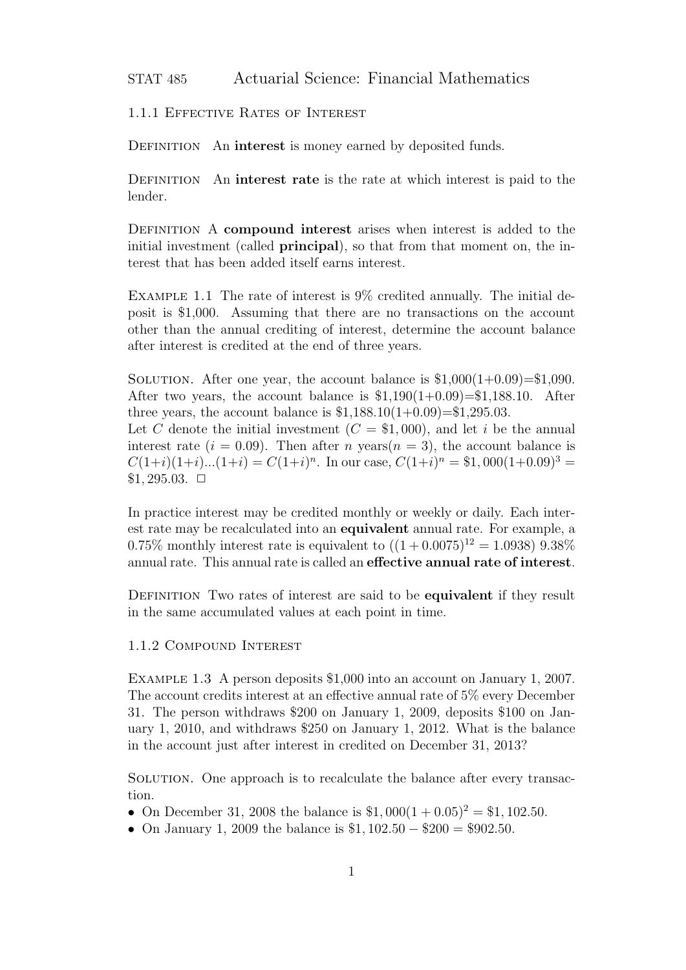STAT 485 Actuarial Science: Financial Mathematics

1.1.1 Effective Rates of Interest

DEFINITION An **interest** is money earned by deposited funds.

DEFINITION An **interest rate** is the rate at which interest is paid to the lender.

Definition A **compound interest** arises when interest is added to the initial investment (called **principal**), so that from that moment on, the interest that has been added itself earns interest.

Example 1.1 The rate of interest is 9% credited annually. The initial deposit is \$1,000. Assuming that there are no transactions on the account other than the annual crediting of interest, determine the account balance after interest is credited at the end of three years.

SOLUTION. After one year, the account balance is  $$1,000(1+0.09)=\$1,090$ . After two years, the account balance is  $$1,190(1+0.09)=$1,188.10$ . After three years, the account balance is  $$1,188.10(1+0.09) = $1,295.03$ .

Let *C* denote the initial investment  $(C = $1,000)$ , and let *i* be the annual interest rate  $(i = 0.09)$ . Then after *n* years $(n = 3)$ , the account balance is  $C(1+i)(1+i)...(1+i) = C(1+i)^n$ . In our case,  $C(1+i)^n = $1,000(1+0.09)^3 =$  $$1,295.03. \square$ 

In practice interest may be credited monthly or weekly or daily. Each interest rate may be recalculated into an **equivalent** annual rate. For example, a 0.75% monthly interest rate is equivalent to  $((1 + 0.0075)^{12} = 1.0938)$  9.38% annual rate. This annual rate is called an **effective annual rate of interest**.

DEFINITION Two rates of interest are said to be **equivalent** if they result in the same accumulated values at each point in time.

1.1.2 Compound Interest

Example 1.3 A person deposits \$1,000 into an account on January 1, 2007. The account credits interest at an effective annual rate of 5% every December 31. The person withdraws \$200 on January 1, 2009, deposits \$100 on January 1, 2010, and withdraws \$250 on January 1, 2012. What is the balance in the account just after interest in credited on December 31, 2013?

Solution. One approach is to recalculate the balance after every transaction.

- On December 31, 2008 the balance is  $$1,000(1+0.05)^2 = $1,102.50$ .
- *•* On January 1, 2009 the balance is \$1*,* 102*.*50 *−* \$200 = \$902*.*50.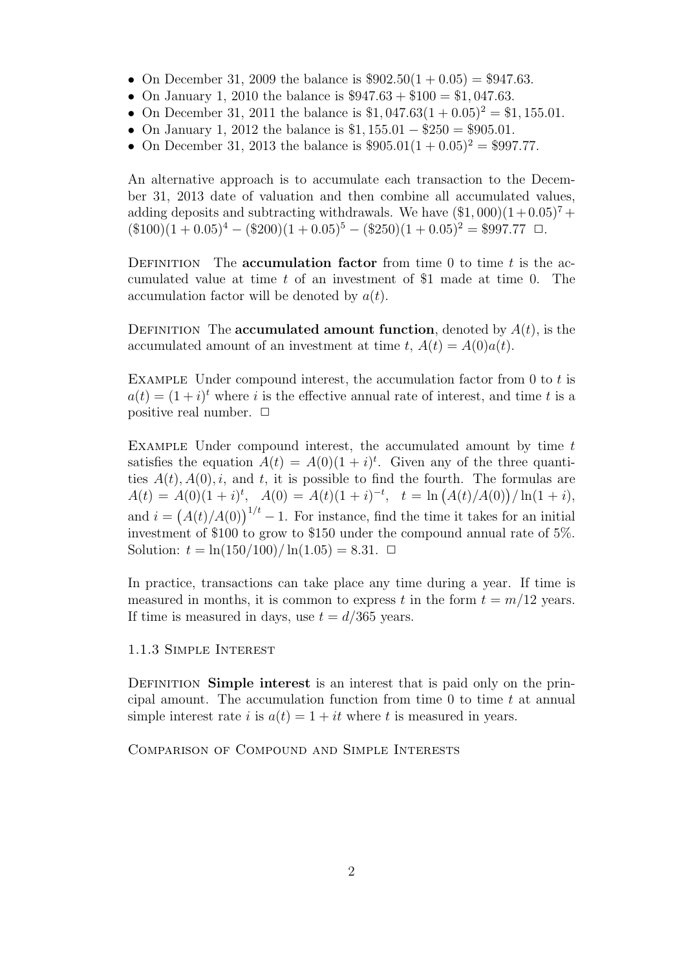- On December 31, 2009 the balance is  $$902.50(1 + 0.05) = $947.63$ .
- *•* On January 1, 2010 the balance is \$947*.*63 + \$100 = \$1*,* 047*.*63.
- On December 31, 2011 the balance is  $$1,047.63(1+0.05)^2 = $1,155.01$ .
- *•* On January 1, 2012 the balance is \$1*,* 155*.*01 *−* \$250 = \$905*.*01.
- On December 31, 2013 the balance is  $$905.01(1 + 0.05)^2 = $997.77$ .

An alternative approach is to accumulate each transaction to the December 31, 2013 date of valuation and then combine all accumulated values, adding deposits and subtracting withdrawals. We have  $(\$1,000)(1+0.05)^7 +$  $(\$100)(1+0.05)^4 - (\$200)(1+0.05)^5 - (\$250)(1+0.05)^2 = \$997.77$   $\Box$ .

DEFINITION The **accumulation factor** from time 0 to time *t* is the accumulated value at time *t* of an investment of \$1 made at time 0. The accumulation factor will be denoted by *a*(*t*).

DEFINITION The **accumulated amount function**, denoted by  $A(t)$ , is the accumulated amount of an investment at time  $t$ ,  $A(t) = A(0)a(t)$ .

Example Under compound interest, the accumulation factor from 0 to *t* is  $a(t) = (1 + i)^t$  where *i* is the effective annual rate of interest, and time *t* is a positive real number.  $\Box$ 

Example Under compound interest, the accumulated amount by time *t* satisfies the equation  $A(t) = A(0)(1 + i)^t$ . Given any of the three quantities  $A(t)$ ,  $A(0)$ , *i*, and *t*, it is possible to find the fourth. The formulas are  $A(t) = A(0)(1 + i)^t$ ,  $A(0) = A(t)(1 + i)^{-t}$ ,  $t = \ln (A(t)/A(0))/\ln(1 + i)$ , and  $i = (A(t)/A(0))^{1/t} - 1$ . For instance, find the time it takes for an initial investment of \$100 to grow to \$150 under the compound annual rate of 5%. Solution:  $t = \ln(150/100)/\ln(1.05) = 8.31$ .  $\Box$ 

In practice, transactions can take place any time during a year. If time is measured in months, it is common to express *t* in the form  $t = m/12$  years. If time is measured in days, use  $t = d/365$  years.

# 1.1.3 Simple Interest

DEFINITION **Simple interest** is an interest that is paid only on the principal amount. The accumulation function from time 0 to time *t* at annual simple interest rate *i* is  $a(t) = 1 + it$  where *t* is measured in years.

Comparison of Compound and Simple Interests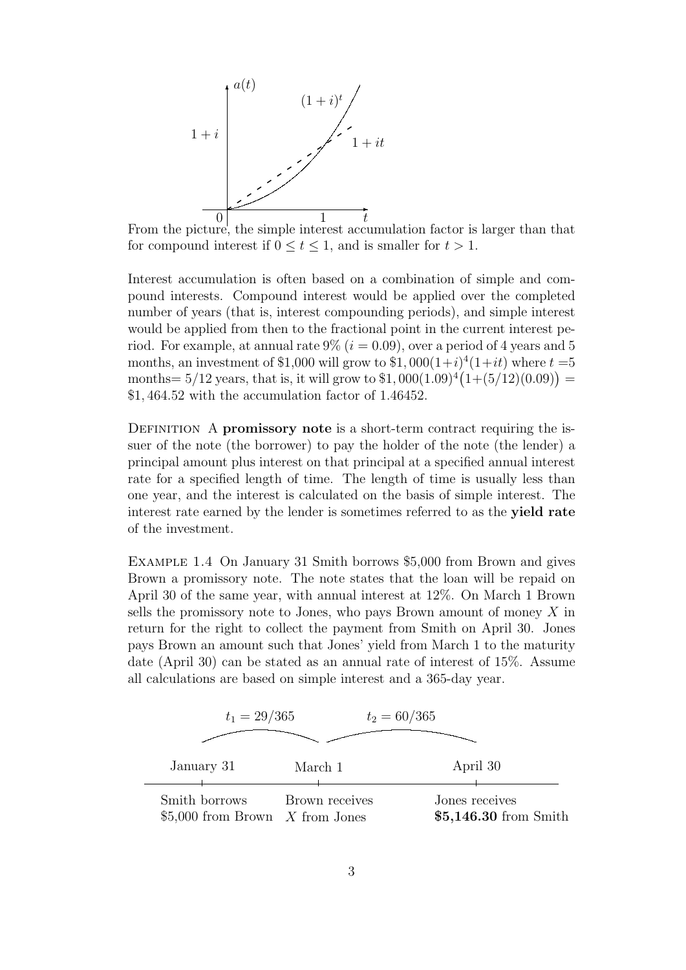

From the picture, the simple interest accumulation factor is larger than that for compound interest if  $0 \le t \le 1$ , and is smaller for  $t > 1$ .

Interest accumulation is often based on a combination of simple and compound interests. Compound interest would be applied over the completed number of years (that is, interest compounding periods), and simple interest would be applied from then to the fractional point in the current interest period. For example, at annual rate  $9\%$  ( $i = 0.09$ ), over a period of 4 years and 5 months, an investment of \$1,000 will grow to  $$1,000(1+i)^4(1+it)$  where  $t=5$ months =  $5/12$  years, that is, it will grow to  $$1,000(1.09)^4(1+(5/12)(0.09))$  = \$1*,* 464*.*52 with the accumulation factor of 1.46452.

DEFINITION A **promissory note** is a short-term contract requiring the issuer of the note (the borrower) to pay the holder of the note (the lender) a principal amount plus interest on that principal at a specified annual interest rate for a specified length of time. The length of time is usually less than one year, and the interest is calculated on the basis of simple interest. The interest rate earned by the lender is sometimes referred to as the **yield rate** of the investment.

Example 1.4 On January 31 Smith borrows \$5,000 from Brown and gives Brown a promissory note. The note states that the loan will be repaid on April 30 of the same year, with annual interest at 12%. On March 1 Brown sells the promissory note to Jones, who pays Brown amount of money *X* in return for the right to collect the payment from Smith on April 30. Jones pays Brown an amount such that Jones' yield from March 1 to the maturity date (April 30) can be stated as an annual rate of interest of 15%. Assume all calculations are based on simple interest and a 365-day year.

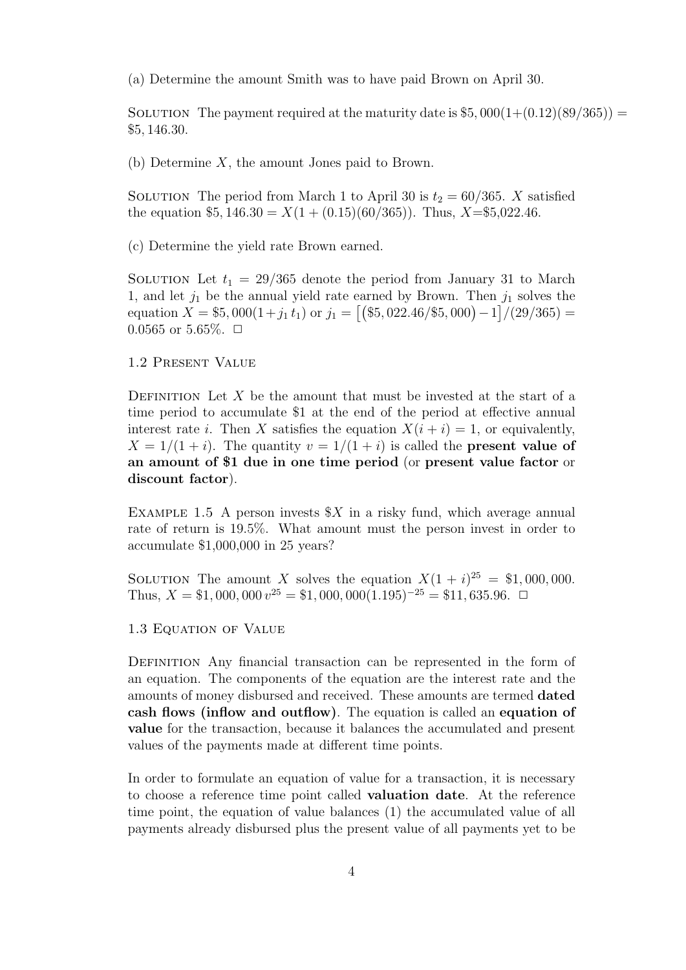(a) Determine the amount Smith was to have paid Brown on April 30.

SOLUTION The payment required at the maturity date is  $$5,000(1+(0.12)(89/365))$  = \$5*,* 146*.*30.

(b) Determine *X*, the amount Jones paid to Brown.

SOLUTION The period from March 1 to April 30 is  $t_2 = 60/365$ . *X* satisfied the equation  $$5, 146.30 = X(1 + (0.15)(60/365))$ . Thus,  $X = $5,022.46$ .

(c) Determine the yield rate Brown earned.

SOLUTION Let  $t_1 = 29/365$  denote the period from January 31 to March 1, and let *j*<sup>1</sup> be the annual yield rate earned by Brown. Then *j*<sup>1</sup> solves the equation  $\overline{X} = $5,000(1+j_1 t_1)$  or  $j_1 = [(\$5,022.46/\$5,000) -1]/(29/365) =$  $0.0565$  or  $5.65\%$ .  $\Box$ 

# 1.2 Present Value

DEFINITION Let  $X$  be the amount that must be invested at the start of a time period to accumulate \$1 at the end of the period at effective annual interest rate *i*. Then *X* satisfies the equation  $X(i + i) = 1$ , or equivalently,  $X = 1/(1 + i)$ . The quantity  $v = 1/(1 + i)$  is called the **present value of an amount of \$1 due in one time period** (or **present value factor** or **discount factor**).

EXAMPLE 1.5 A person invests  $X$  in a risky fund, which average annual rate of return is 19.5%. What amount must the person invest in order to accumulate \$1,000,000 in 25 years?

SOLUTION The amount *X* solves the equation  $X(1 + i)^{25} = $1,000,000$ . Thus, *X* = \$1,000,000  $v^{25}$  = \$1,000,000(1.195)<sup>-25</sup> = \$11,635.96. **□** 

## 1.3 Equation of Value

DEFINITION Any financial transaction can be represented in the form of an equation. The components of the equation are the interest rate and the amounts of money disbursed and received. These amounts are termed **dated cash flows (inflow and outflow)**. The equation is called an **equation of value** for the transaction, because it balances the accumulated and present values of the payments made at different time points.

In order to formulate an equation of value for a transaction, it is necessary to choose a reference time point called **valuation date**. At the reference time point, the equation of value balances (1) the accumulated value of all payments already disbursed plus the present value of all payments yet to be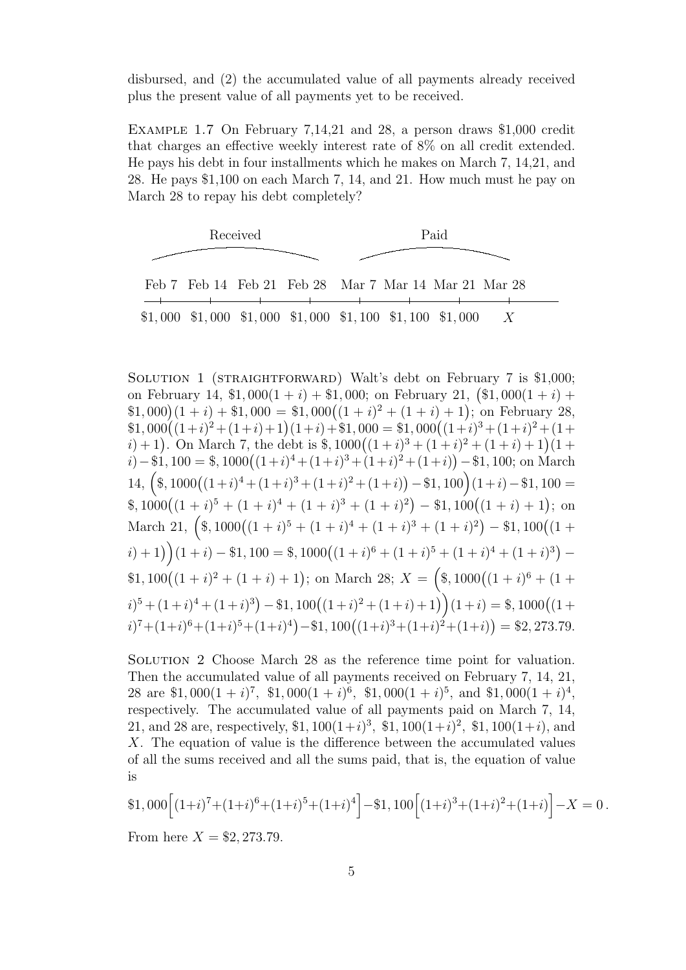disbursed, and (2) the accumulated value of all payments already received plus the present value of all payments yet to be received.

Example 1.7 On February 7,14,21 and 28, a person draws \$1,000 credit that charges an effective weekly interest rate of 8% on all credit extended. He pays his debt in four installments which he makes on March 7, 14,21, and 28. He pays \$1,100 on each March 7, 14, and 21. How much must he pay on March 28 to repay his debt completely?



SOLUTION 1 (STRAIGHTFORWARD) Walt's debt on February 7 is \$1,000; on February 14,  $$1,000(1 + i) + $1,000$ ; on February 21,  $$1,000(1 + i) +$  $(1, 000)(1 + i) + (1, 000) = (1 + i)^2 + (1 + i) + 1$ ; on February 28,  $$1,000((1+i)^{2} + (1+i) + 1)(1+i) + $1,000 = $1,000((1+i)^{3} + (1+i)^{2} + (1+i)^{3})$ *i*) + 1). On March 7, the debt is  $\frac{2}{3}$ , 1000 $((1+i)^3 + (1+i)^2 + (1+i) + 1)(1+i)$  $i)$  − \$1, 100 = \$, 1000 $((1+i)^4 + (1+i)^3 + (1+i)^2 + (1+i))$  − \$1, 100; on March  $14, {$   $({\text{$_8$}},1000((1+i)^4+(1+i)^3+(1+i)^2+(1+i)) -$  \$1, 100  $)(1+i) -$  \$1, 100 =  $\frac{\$}{2}$ , 1000( $\left(1+i\right)^5 + \left(1+i\right)^4 + \left(1+i\right)^3 + \left(1+i\right)^2\right) - \$1,100\left(\left(1+i\right)+1\right);$  on March 21,  $\left(\frac{1}{2}, 1000\right)\left((1+i)^5 + (1+i)^4 + (1+i)^3 + (1+i)^2\right) - \frac{1}{2}$ , 100 $\left((1+i)^5 + (1+i)^4 + (1+i)^4 + (1+i)^4\right)$  $(i) + 1$   $\left(1+i\right) - $1,100 = $,1000\left((1+i)^6 + (1+i)^5 + (1+i)^4 + (1+i)^3\right) -$ \$1,  $100((1 + i)^2 + (1 + i) + 1)$ ; on March 28;  $X = (\frac{1}{3}, 1000((1 + i)^6 + (1 +$  $(i)^5 + (1+i)^4 + (1+i)^3) - $1,100((1+i)^2 + (1+i) + 1)$   $(1+i) = $,1000((1+i)^2 + 1)$  $(i)^7 + (1+i)^6 + (1+i)^5 + (1+i)^4) - $1,100((1+i)^3 + (1+i)^2 + (1+i)) = $2,273.79.$ 

Solution 2 Choose March 28 as the reference time point for valuation. Then the accumulated value of all payments received on February 7, 14, 21, 28 are  $$1,000(1+i)^7$ ,  $$1,000(1+i)^6$ ,  $$1,000(1+i)^5$ , and  $$1,000(1+i)^4$ , respectively. The accumulated value of all payments paid on March 7, 14, 21, and 28 are, respectively, \$1,  $100(1+i)^3$ , \$1,  $100(1+i)^2$ , \$1,  $100(1+i)$ , and *X*. The equation of value is the difference between the accumulated values of all the sums received and all the sums paid, that is, the equation of value is

$$
\$1,000\Big[(1+i)^7+(1+i)^6+(1+i)^5+(1+i)^4\Big]-\$1,100\Big[(1+i)^3+(1+i)^2+(1+i)\Big]-X=0.
$$

From here  $X = $2,273.79$ .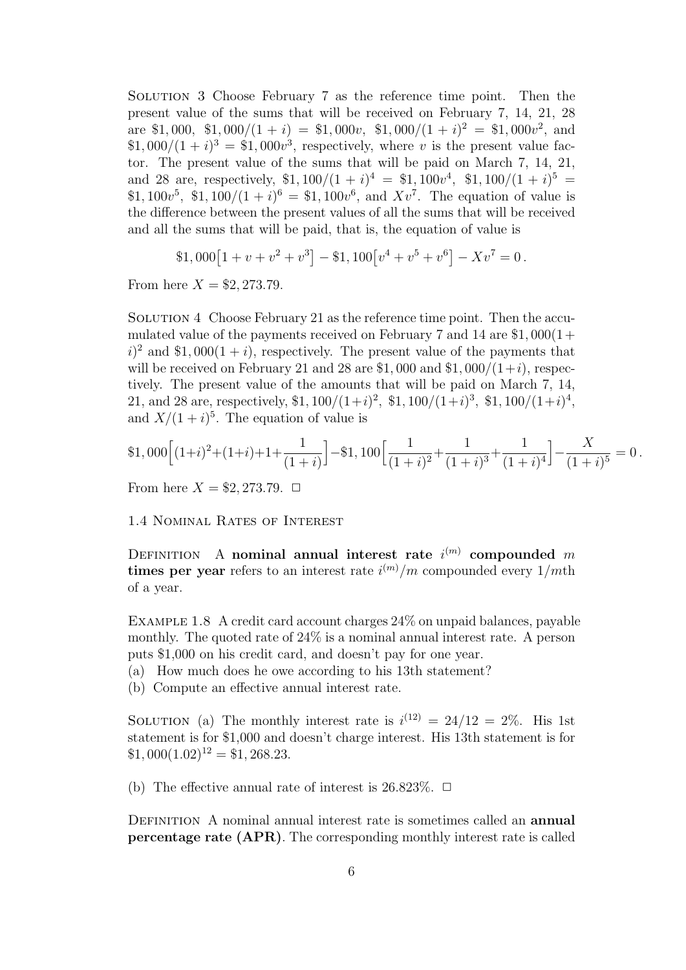Solution 3 Choose February 7 as the reference time point. Then the present value of the sums that will be received on February 7, 14, 21, 28 are \$1,000, \$1,000/ $(1 + i) =$  \$1,000*v*, \$1,000/ $(1 + i)^2 =$  \$1,000*v*<sup>2</sup>, and  $$1,000/(1+i)^3 = $1,000v^3$ , respectively, where *v* is the present value factor. The present value of the sums that will be paid on March 7, 14, 21, and 28 are, respectively,  $$1,100/(1+i)^4 = $1,100v^4$ ,  $$1,100/(1+i)^5 =$ \$1,  $100v^5$ , \$1,  $100/(1 + i)^6 = 1, 100v^6$ , and  $Xv^7$ . The equation of value is the difference between the present values of all the sums that will be received and all the sums that will be paid, that is, the equation of value is

$$
$1,000[1+v+v^2+v^3]-$1,100[v^4+v^5+v^6]-Xv^7=0.
$$

From here  $X = $2,273.79$ .

SOLUTION 4 Choose February 21 as the reference time point. Then the accumulated value of the payments received on February 7 and 14 are \$1*,* 000(1+  $i$ <sup>2</sup> and \$1,000(1 + *i*), respectively. The present value of the payments that will be received on February 21 and 28 are \$1,000 and \$1,000/ $(1+i)$ , respectively. The present value of the amounts that will be paid on March 7, 14, 21, and 28 are, respectively, \$1,  $100/(1+i)^2$ , \$1,  $100/(1+i)^3$ , \$1,  $100/(1+i)^4$ , and  $X/(1+i)^5$ . The equation of value is

$$
\$1,000\Big[(1+i)^2+(1+i)+1+\frac{1}{(1+i)}\Big]-\$1,100\Big[\frac{1}{(1+i)^2}+\frac{1}{(1+i)^3}+\frac{1}{(1+i)^4}\Big]-\frac{X}{(1+i)^5}=0.
$$

From here  $X = $2,273.79$ .  $\Box$ 

1.4 Nominal Rates of Interest

DEFINITION A **nominal annual interest rate**  $i^{(m)}$  compounded m **times per year** refers to an interest rate  $i^{(m)}/m$  compounded every  $1/m$ th of a year.

Example 1.8 A credit card account charges 24% on unpaid balances, payable monthly. The quoted rate of 24% is a nominal annual interest rate. A person puts \$1,000 on his credit card, and doesn't pay for one year.

(a) How much does he owe according to his 13th statement?

(b) Compute an effective annual interest rate.

SOLUTION (a) The monthly interest rate is  $i^{(12)} = 24/12 = 2\%$ . His 1st statement is for \$1,000 and doesn't charge interest. His 13th statement is for  $$1,000(1.02)^{12} = $1,268.23.$ 

(b) The effective annual rate of interest is  $26.823\%$ .  $\Box$ 

Definition A nominal annual interest rate is sometimes called an **annual percentage rate (APR)**. The corresponding monthly interest rate is called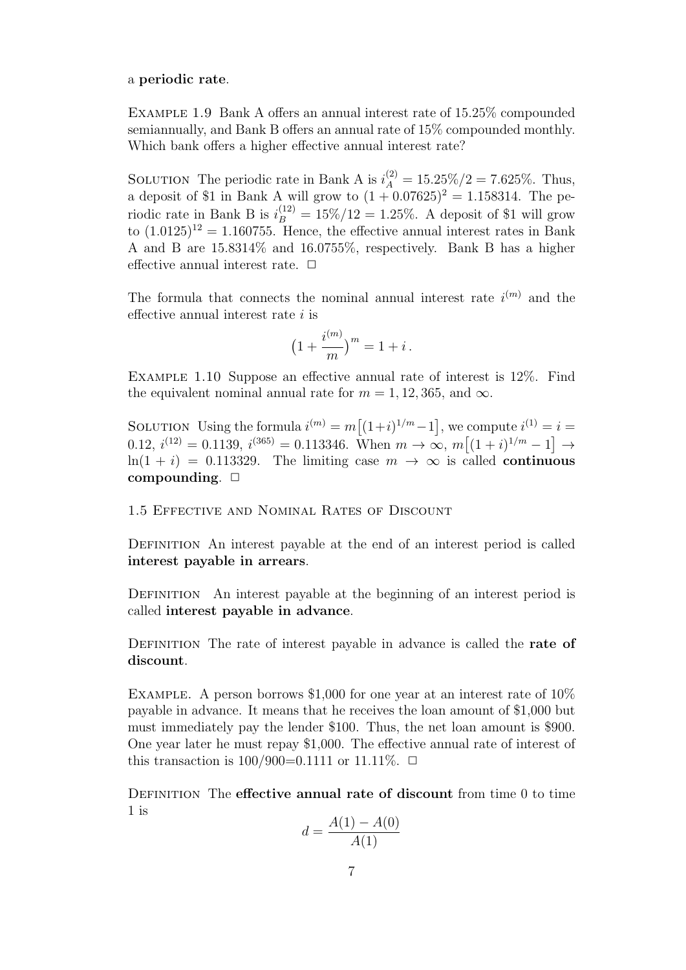a **periodic rate**.

Example 1.9 Bank A offers an annual interest rate of 15.25% compounded semiannually, and Bank B offers an annual rate of 15% compounded monthly. Which bank offers a higher effective annual interest rate?

SOLUTION The periodic rate in Bank A is  $i_A^{(2)} = 15.25\%/2 = 7.625\%$ . Thus, a deposit of \$1 in Bank A will grow to  $(1 + 0.07625)^2 = 1.158314$ . The periodic rate in Bank B is  $i_B^{(12)} = 15\%/12 = 1.25\%$ . A deposit of \$1 will grow to  $(1.0125)^{12} = 1.160755$ . Hence, the effective annual interest rates in Bank A and B are 15.8314% and 16.0755%, respectively. Bank B has a higher effective annual interest rate.  $\Box$ 

The formula that connects the nominal annual interest rate  $i^{(m)}$  and the effective annual interest rate *i* is

$$
(1 + \frac{i^{(m)}}{m})^m = 1 + i.
$$

Example 1.10 Suppose an effective annual rate of interest is 12%. Find the equivalent nominal annual rate for  $m = 1, 12, 365$ , and  $\infty$ .

SOLUTION Using the formula  $i^{(m)} = m[(1+i)^{1/m} - 1]$ , we compute  $i^{(1)} = i =$  $0.12, i^{(12)} = 0.1139, i^{(365)} = 0.113346.$  When  $m \to \infty$ ,  $m[(1+i)^{1/m} - 1] \to$ ln(1 + *i*) = 0.113329. The limiting case  $m \to \infty$  is called **continuous compounding**.  $\Box$ 

1.5 Effective and Nominal Rates of Discount

DEFINITION An interest payable at the end of an interest period is called **interest payable in arrears**.

DEFINITION An interest payable at the beginning of an interest period is called **interest payable in advance**.

Definition The rate of interest payable in advance is called the **rate of discount**.

EXAMPLE. A person borrows \$1,000 for one year at an interest rate of  $10\%$ payable in advance. It means that he receives the loan amount of \$1,000 but must immediately pay the lender \$100. Thus, the net loan amount is \$900. One year later he must repay \$1,000. The effective annual rate of interest of this transaction is  $100/900=0.1111$  or  $11.11\%$ .  $\Box$ 

Definition The **effective annual rate of discount** from time 0 to time 1 is

$$
d = \frac{A(1) - A(0)}{A(1)}
$$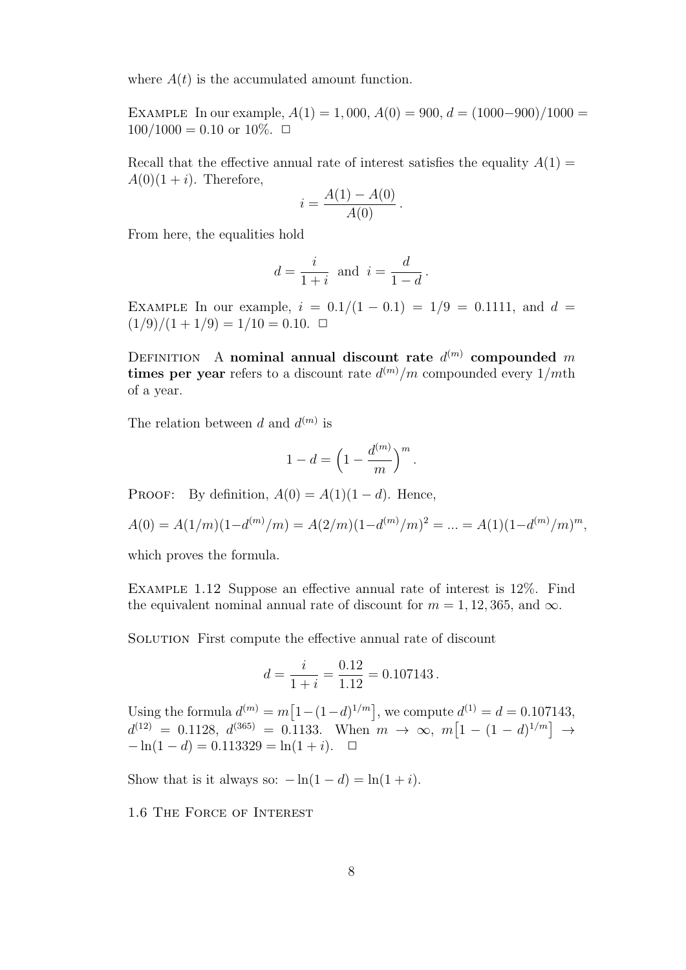where  $A(t)$  is the accumulated amount function.

EXAMPLE In our example,  $A(1) = 1,000, A(0) = 900, d = (1000-900)/1000 =$  $100/1000 = 0.10$  or  $10\%$ .  $\Box$ 

Recall that the effective annual rate of interest satisfies the equality  $A(1)$  =  $A(0)(1+i)$ . Therefore,

$$
i = \frac{A(1) - A(0)}{A(0)}.
$$

From here, the equalities hold

$$
d = \frac{i}{1+i} \text{ and } i = \frac{d}{1-d}.
$$

EXAMPLE In our example,  $i = 0.1/(1 - 0.1) = 1/9 = 0.1111$ , and  $d =$  $(1/9)/(1 + 1/9) = 1/10 = 0.10$ .

DEFINITION A nominal annual discount rate  $d^{(m)}$  compounded m **times per year** refers to a discount rate *d* (*m*)*/m* compounded every 1*/m*th of a year.

The relation between *d* and  $d^{(m)}$  is

$$
1 - d = \left(1 - \frac{d^{(m)}}{m}\right)^m.
$$

PROOF: By definition,  $A(0) = A(1)(1 - d)$ . Hence,

$$
A(0) = A(1/m)(1-d^{(m)}/m) = A(2/m)(1-d^{(m)}/m)^{2} = \dots = A(1)(1-d^{(m)}/m)^{m},
$$

which proves the formula.

Example 1.12 Suppose an effective annual rate of interest is 12%. Find the equivalent nominal annual rate of discount for  $m = 1, 12, 365$ , and  $\infty$ .

SOLUTION First compute the effective annual rate of discount

$$
d = \frac{i}{1+i} = \frac{0.12}{1.12} = 0.107143.
$$

Using the formula  $d^{(m)} = m[1-(1-d)^{1/m}]$ , we compute  $d^{(1)} = d = 0.107143$ ,  $d^{(12)} = 0.1128, d^{(365)} = 0.1133.$  When  $m \to \infty, m[1 - (1 - d)^{1/m}] \to$  $-\ln(1-d) = 0.113329 = \ln(1+i)$ .  $\Box$ 

Show that is it always so:  $-\ln(1-d) = \ln(1+i)$ .

1.6 The Force of Interest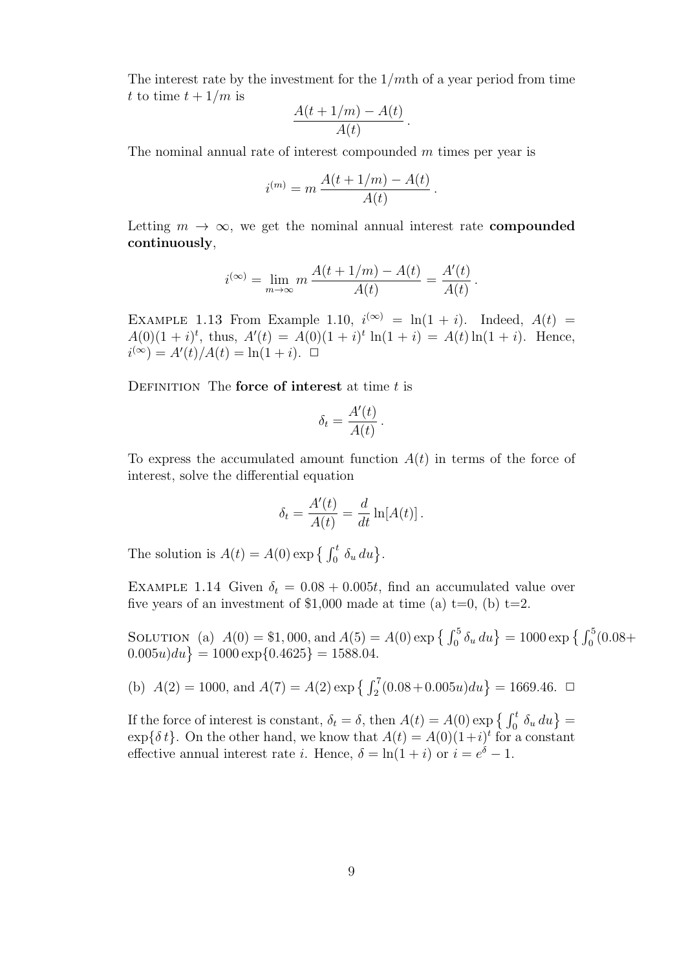The interest rate by the investment for the 1*/m*th of a year period from time *t* to time  $t + 1/m$  is

$$
\frac{A(t+1/m)-A(t)}{A(t)}.
$$

The nominal annual rate of interest compounded *m* times per year is

$$
i^{(m)} = m \frac{A(t + 1/m) - A(t)}{A(t)}.
$$

Letting  $m \to \infty$ , we get the nominal annual interest rate **compounded continuously**,

$$
i^{(\infty)} = \lim_{m \to \infty} m \, \frac{A(t + 1/m) - A(t)}{A(t)} = \frac{A'(t)}{A(t)}
$$

*.*

EXAMPLE 1.13 From Example 1.10,  $i^{(\infty)} = \ln(1 + i)$ . Indeed,  $A(t) =$  $A(0)(1 + i)^t$ , thus,  $A'(t) = A(0)(1 + i)^t \ln(1 + i) = A(t) \ln(1 + i)$ . Hence,  $i^{(\infty)} = A'(t)/A(t) = \ln(1+i)$ .  $\Box$ 

Definition The **force of interest** at time *t* is

$$
\delta_t = \frac{A'(t)}{A(t)}.
$$

To express the accumulated amount function  $A(t)$  in terms of the force of interest, solve the differential equation

$$
\delta_t = \frac{A'(t)}{A(t)} = \frac{d}{dt} \ln[A(t)].
$$

The solution is  $A(t) = A(0) \exp \left\{ \int_0^t \delta_u du \right\}.$ 

EXAMPLE 1.14 Given  $\delta_t = 0.08 + 0.005t$ , find an accumulated value over five years of an investment of \$1,000 made at time (a)  $t=0$ , (b)  $t=2$ .

SOLUTION (a)  $A(0) = $1,000$ , and  $A(5) = A(0) \exp \left\{ \int_0^5 \delta_u du \right\} = 1000 \exp \left\{ \int_0^5 (0.08 +$  $(0.005u)du$  = 1000 exp $\{0.4625\}$  = 1588*.*04.

(b) 
$$
A(2) = 1000
$$
, and  $A(7) = A(2) \exp \left\{ \int_2^7 (0.08 + 0.005u) du \right\} = 1669.46$ .  $\Box$ 

If the force of interest is constant,  $\delta_t = \delta$ , then  $A(t) = A(0) \exp \{ \int_0^t \delta_u du \}$  $\exp{\{\delta t\}}$ . On the other hand, we know that  $A(t) = A(0)(1+i)^t$  for a constant effective annual interest rate *i*. Hence,  $\delta = \ln(1 + i)$  or  $i = e^{\delta} - 1$ .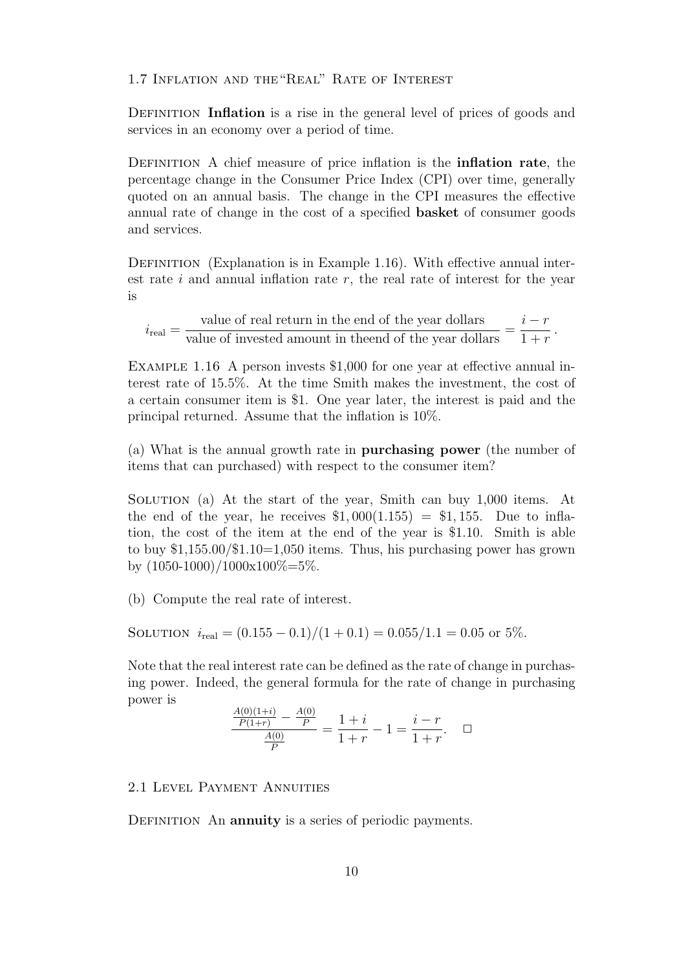1.7 Inflation and the"Real" Rate of Interest

DEFINITION **Inflation** is a rise in the general level of prices of goods and services in an economy over a period of time.

Definition A chief measure of price inflation is the **inflation rate**, the percentage change in the Consumer Price Index (CPI) over time, generally quoted on an annual basis. The change in the CPI measures the effective annual rate of change in the cost of a specified **basket** of consumer goods and services.

DEFINITION (Explanation is in Example 1.16). With effective annual interest rate *i* and annual inflation rate *r*, the real rate of interest for the year is

 $i_{\text{real}} =$ value of real return in the end of the year dollars  $\frac{v_{\text{max}}}{v_{\text{max}}}$  of invested amount in theend of the year dollars  $=$ *i − r*  $1 + r$ *.*

EXAMPLE 1.16 A person invests \$1,000 for one year at effective annual interest rate of 15.5%. At the time Smith makes the investment, the cost of a certain consumer item is \$1. One year later, the interest is paid and the principal returned. Assume that the inflation is 10%.

(a) What is the annual growth rate in **purchasing power** (the number of items that can purchased) with respect to the consumer item?

Solution (a) At the start of the year, Smith can buy 1,000 items. At the end of the year, he receives  $$1,000(1.155) = $1,155$ . Due to inflation, the cost of the item at the end of the year is \$1.10. Smith is able to buy \$1,155.00/\$1.10=1,050 items. Thus, his purchasing power has grown by  $(1050-1000)/1000x100\% = 5\%.$ 

(b) Compute the real rate of interest.

SOLUTION  $i_{\text{real}} = (0.155 - 0.1)/(1 + 0.1) = 0.055/1.1 = 0.05$  or 5%.

Note that the real interest rate can be defined as the rate of change in purchasing power. Indeed, the general formula for the rate of change in purchasing power is *A*(0)(1+*i*)

$$
\frac{\frac{A(0)(1+i)}{P(1+r)} - \frac{A(0)}{P}}{\frac{A(0)}{P}} = \frac{1+i}{1+r} - 1 = \frac{i-r}{1+r}.
$$

## 2.1 Level Payment Annuities

DEFINITION An **annuity** is a series of periodic payments.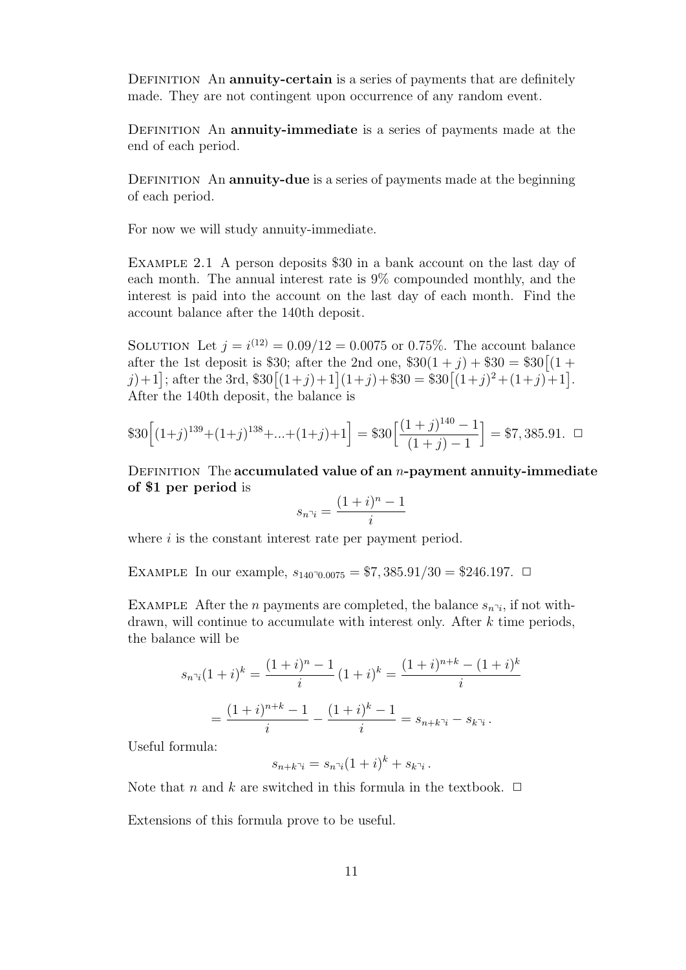DEFINITION An **annuity-certain** is a series of payments that are definitely made. They are not contingent upon occurrence of any random event.

Definition An **annuity-immediate** is a series of payments made at the end of each period.

DEFINITION An **annuity-due** is a series of payments made at the beginning of each period.

For now we will study annuity-immediate.

Example 2.1 A person deposits \$30 in a bank account on the last day of each month. The annual interest rate is 9% compounded monthly, and the interest is paid into the account on the last day of each month. Find the account balance after the 140th deposit.

SOLUTION Let  $j = i^{(12)} = 0.09/12 = 0.0075$  or 0.75%. The account balance after the 1st deposit is \$30; after the 2nd one,  $$30(1 + j) + $30 = $30[(1 + j) + (1 + j)]$  $\mathcal{J}(j+1)$ ; after the 3rd,  $\$30[(1+j)+1](1+j) + \$30 = \$30[(1+j)^2+(1+j)+1]$ . After the 140th deposit, the balance is

$$
\$30\Big[(1+j)^{139}+(1+j)^{138}+\ldots+(1+j)+1\Big] = \$30\Big[\frac{(1+j)^{140}-1}{(1+j)-1}\Big] = \$7,385.91. \square
$$

Definition The **accumulated value of an** *n***-payment annuity-immediate of \$1 per period** is

$$
s_{n\bar{i}} = \frac{(1+i)^n - 1}{i}
$$

where *i* is the constant interest rate per payment period.

EXAMPLE In our example,  $s_{140\degree,0.0075} = $7,385.91/30 = $246.197$ .  $\Box$ 

EXAMPLE After the *n* payments are completed, the balance  $s_{n^{\gamma}i}$ , if not withdrawn, will continue to accumulate with interest only. After *k* time periods, the balance will be

$$
s_{n\bar{i}}(1+i)^k = \frac{(1+i)^n - 1}{i} (1+i)^k = \frac{(1+i)^{n+k} - (1+i)^k}{i}
$$

$$
= \frac{(1+i)^{n+k} - 1}{i} - \frac{(1+i)^k - 1}{i} = s_{n+k\bar{i}} - s_{k\bar{i}}.
$$

Useful formula:

$$
s_{n+k\bar{\mathfrak{I}}i} = s_{n\bar{\mathfrak{I}}i}(1+i)^k + s_{k\bar{\mathfrak{I}}i}.
$$

Note that *n* and *k* are switched in this formula in the textbook.  $\Box$ 

Extensions of this formula prove to be useful.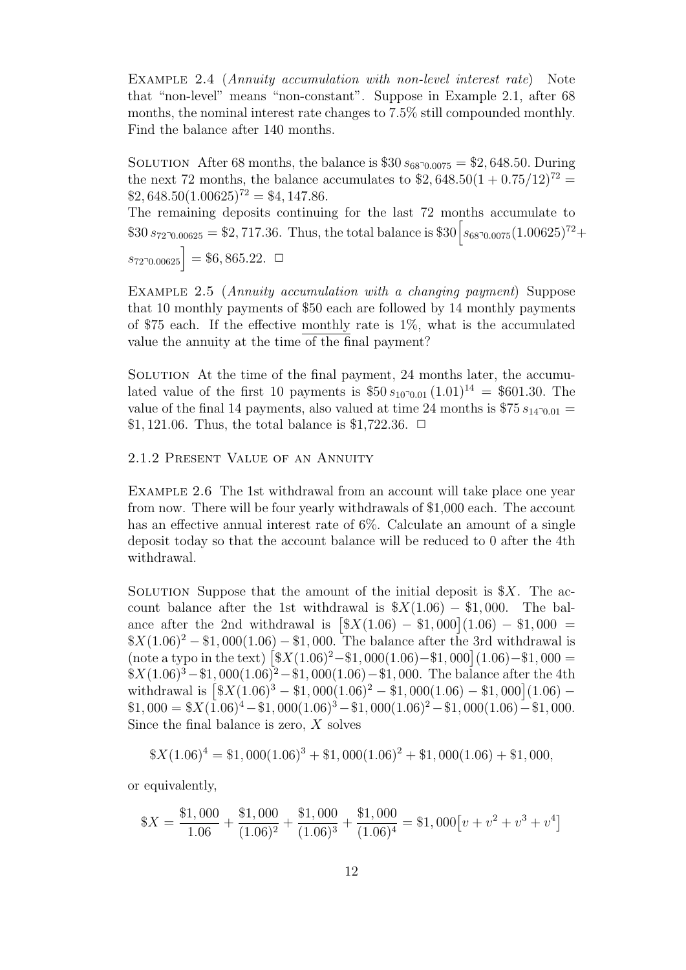Example 2.4 (*Annuity accumulation with non-level interest rate*) Note that "non-level" means "non-constant". Suppose in Example 2.1, after 68 months, the nominal interest rate changes to 7.5% still compounded monthly. Find the balance after 140 months.

SOLUTION After 68 months, the balance is  $$30 s_{68}$ <sup>0</sup> $_{0.0075}$  = \$2,648*.*50*.* During the next 72 months, the balance accumulates to  $$2,648.50(1+0.75/12)^{72}$  =  $$2,648.50(1.00625)^{72} = $4,147.86.$ 

The remaining deposits continuing for the last 72 months accumulate to  $$30 s_{72^{\degree}0.00625} = $2,717.36$ . Thus, the total balance is  $$30 \left[ s_{68^{\degree}0.0075}(1.00625)^{72} + \right]$  $s_{72\degree 0.00625}$  = \$6,865.22*.*  $\Box$ 

Example 2.5 (*Annuity accumulation with a changing payment*) Suppose that 10 monthly payments of \$50 each are followed by 14 monthly payments of \$75 each. If the effective monthly rate is  $1\%$ , what is the accumulated value the annuity at the time of the final payment?

Solution At the time of the final payment, 24 months later, the accumulated value of the first 10 payments is  $$50 s_{100001} (1.01)^{14} = $601.30$ . The value of the final 14 payments, also valued at time 24 months is  $$75 s_{14}$ <sup>0</sup>.01 = \$1,121.06. Thus, the total balance is \$1,722.36.  $□$ 

## 2.1.2 Present Value of an Annuity

Example 2.6 The 1st withdrawal from an account will take place one year from now. There will be four yearly withdrawals of \$1,000 each. The account has an effective annual interest rate of 6%. Calculate an amount of a single deposit today so that the account balance will be reduced to 0 after the 4th withdrawal.

SOLUTION Suppose that the amount of the initial deposit is  $X$ . The account balance after the 1st withdrawal is  $\frac{8X(1.06)}{8} - \frac{1}{1000}$ . The balance after the 2nd withdrawal is  $[\$X(1.06) - \$1,000](1.06) - \$1,000 =$  $\frac{\$X(1.06)^2 - \$1,000(1.06) - \$1,000}$ . The balance after the 3rd withdrawal is  $(\text{note a type in the text})$  $\left[\frac{\$X(1.06)^2 - \$1,000(1.06) - \$1,000}{(1.06)^2 - \$1,000}\right]$ \$*X*(1*.*06)<sup>3</sup>*−*\$1*,* 000(1*.*06)<sup>2</sup>*−*\$1*,* 000(1*.*06)*−*\$1*,* 000. The balance after the 4th withdrawal is  $\left[ \frac{\$X(1.06)^3 - \$1,000(1.06)^2 - \$1,000(1.06) - \$1,000}{(1.06)} - \right]$  $$1,000 = $X(1.06)^4 - $1,000(1.06)^3 - $1,000(1.06)^2 - $1,000(1.06) - $1,000$ . Since the final balance is zero, *X* solves

$$
X(1.06)^4 = \$1,000(1.06)^3 + \$1,000(1.06)^2 + \$1,000(1.06) + \$1,000,
$$

or equivalently,

$$
\$X = \frac{\$1,000}{1.06} + \frac{\$1,000}{(1.06)^2} + \frac{\$1,000}{(1.06)^3} + \frac{\$1,000}{(1.06)^4} = \$1,000[v+v^2+v^3+v^4]
$$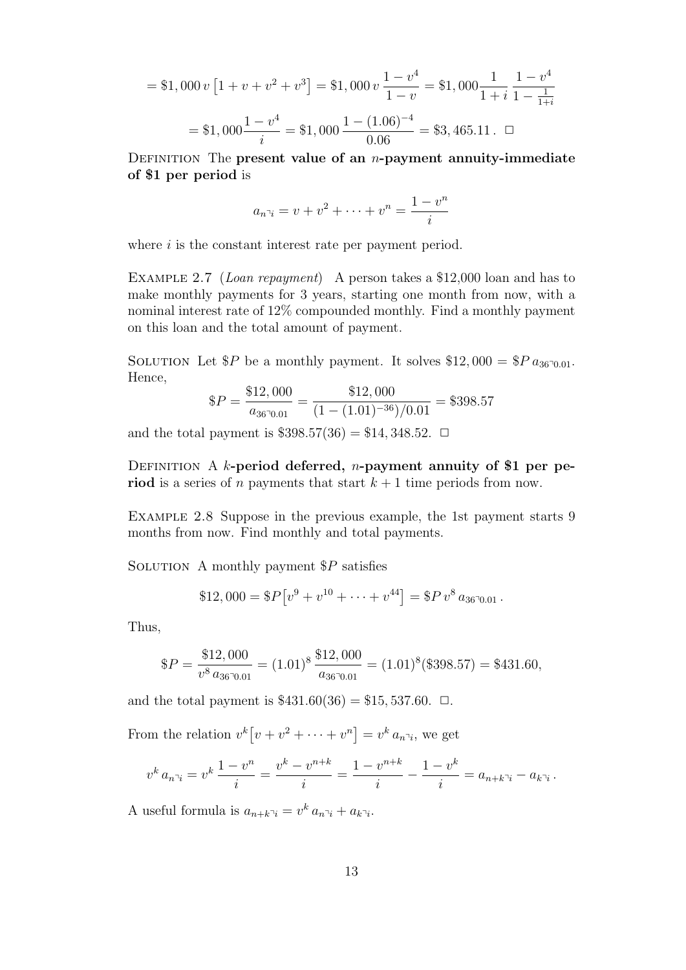$$
= $1,000 \, v \left[ 1 + v + v^2 + v^3 \right] = $1,000 \, v \frac{1 - v^4}{1 - v} = $1,000 \frac{1}{1 + i} \frac{1 - v^4}{1 - \frac{1}{1 + i}}
$$
\n
$$
= $1,000 \frac{1 - v^4}{i} = $1,000 \frac{1 - (1.06)^{-4}}{0.06} = $3,465.11. \quad \Box
$$

Definition The **present value of an** *n***-payment annuity-immediate of \$1 per period** is

$$
a_{n\bar{i}} = v + v^2 + \dots + v^n = \frac{1 - v^n}{i}
$$

where *i* is the constant interest rate per payment period.

Example 2.7 (*Loan repayment*) A person takes a \$12,000 loan and has to make monthly payments for 3 years, starting one month from now, with a nominal interest rate of 12% compounded monthly. Find a monthly payment on this loan and the total amount of payment.

SOLUTION Let  $P$  be a monthly payment. It solves  $$12,000 = P a_{36,00,01}$ . Hence,

$$
\$P = \frac{\$12,000}{a_{36}\text{--}0.01} = \frac{\$12,000}{(1 - (1.01)^{-36})/0.01} = \$398.57
$$

and the total payment is  $$398.57(36) = $14,348.52$ .  $\Box$ 

DEFINITION A *k*-period deferred, *n*-payment annuity of \$1 per pe**riod** is a series of *n* payments that start  $k + 1$  time periods from now.

EXAMPLE 2.8 Suppose in the previous example, the 1st payment starts 9 months from now. Find monthly and total payments.

Solution A monthly payment \$*P* satisfies

\$12,000 = 
$$
\$P[v^9 + v^{10} + \cdots + v^{44}] = \$P v^8 a_{36^{\circ}0.01}
$$
.

Thus,

$$
\$P = \frac{\$12,000}{v^8 a_{36\text{-}0.01}} = (1.01)^8 \frac{\$12,000}{a_{36\text{-}0.01}} = (1.01)^8 (\$398.57) = \$431.60,
$$

and the total payment is  $$431.60(36) = $15,537.60$ .  $\Box$ .

From the relation  $v^k[v + v^2 + \cdots + v^n] = v^k a_{n \gamma_i}$ , we get

$$
v^{k} a_{n\bar{i}} = v^{k} \frac{1 - v^{n}}{i} = \frac{v^{k} - v^{n+k}}{i} = \frac{1 - v^{n+k}}{i} - \frac{1 - v^{k}}{i} = a_{n+k\bar{i}} - a_{k\bar{i}}.
$$

A useful formula is  $a_{n+k} \bar{a}_i = v^k a_n \bar{a}_i + a_{k} \bar{a}_i$ .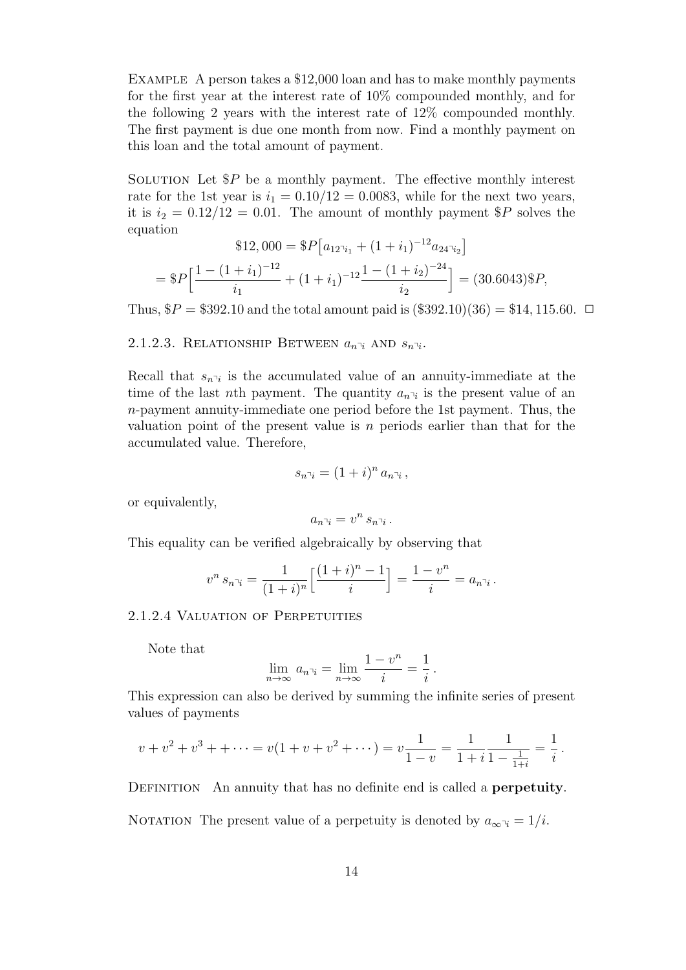Example A person takes a \$12,000 loan and has to make monthly payments for the first year at the interest rate of 10% compounded monthly, and for the following 2 years with the interest rate of 12% compounded monthly. The first payment is due one month from now. Find a monthly payment on this loan and the total amount of payment.

SOLUTION Let  $P$  be a monthly payment. The effective monthly interest rate for the 1st year is  $i_1 = 0.10/12 = 0.0083$ , while for the next two years, it is  $i_2 = 0.12/12 = 0.01$ . The amount of monthly payment \$P solves the equation  $(a + 12$ 

$$
\$12,000 = \$P[a_{12\gamma_{i_1}} + (1+i_1)^{-12}a_{24\gamma_{i_2}}]
$$
  
= \\$P[\frac{1 - (1+i\_1)^{-12}}{i\_1} + (1+i\_1)^{-12}\frac{1 - (1+i\_2)^{-24}}{i\_2}] = (30.6043) \\$P,

Thus,  $$P = $392.10$  and the total amount paid is  $(\$392.10)(36) = $14,115.60$ .  $\Box$ 

## 2.1.2.3. RELATIONSHIP BETWEEN  $a_{n\bar{i}}$  and  $s_{n\bar{i}}$ .

Recall that  $s_{n\bar{i}}$  is the accumulated value of an annuity-immediate at the time of the last *n*th payment. The quantity  $a_{n^{\gamma}i}$  is the present value of an *n*-payment annuity-immediate one period before the 1st payment. Thus, the valuation point of the present value is *n* periods earlier than that for the accumulated value. Therefore,

$$
s_{n\bar{\jmath}} = (1+i)^n a_{n\bar{\jmath}}\,,
$$

or equivalently,

$$
a_{n\bar{\neg i}} = v^n s_{n\bar{\neg i}}.
$$

This equality can be verified algebraically by observing that

$$
v^n s_{n\bar{i}} = \frac{1}{(1+i)^n} \left[ \frac{(1+i)^n - 1}{i} \right] = \frac{1 - v^n}{i} = a_{n\bar{i}}.
$$

## 2.1.2.4 Valuation of Perpetuities

Note that

$$
\lim_{n \to \infty} a_{n \nu_i} = \lim_{n \to \infty} \frac{1 - v^n}{i} = \frac{1}{i}.
$$

This expression can also be derived by summing the infinite series of present values of payments

$$
v + v2 + v3 + + \dots = v(1 + v + v2 + \dots) = v\frac{1}{1 - v} = \frac{1}{1 + i} \frac{1}{1 - \frac{1}{1 + i}} = \frac{1}{i}.
$$

DEFINITION An annuity that has no definite end is called a **perpetuity**.

NOTATION The present value of a perpetuity is denoted by  $a_{\infty}q_i = 1/i$ .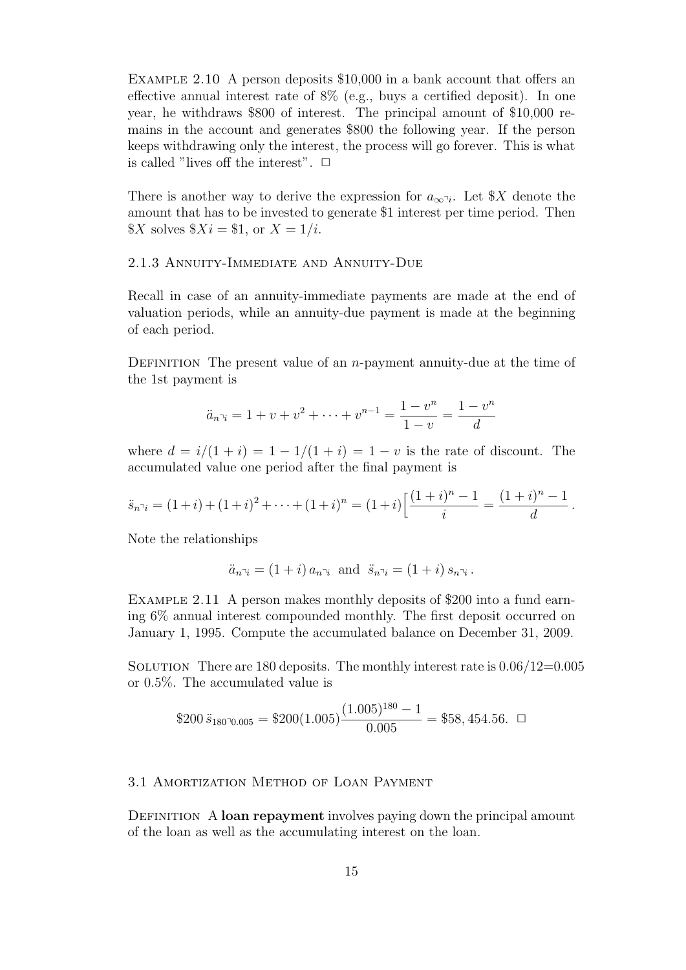EXAMPLE 2.10 A person deposits \$10,000 in a bank account that offers an effective annual interest rate of 8% (e.g., buys a certified deposit). In one year, he withdraws \$800 of interest. The principal amount of \$10,000 remains in the account and generates \$800 the following year. If the person keeps withdrawing only the interest, the process will go forever. This is what is called "lives off the interest".  $\Box$ 

There is another way to derive the expression for  $a_{\infty} \gamma_i$ . Let \$*X* denote the amount that has to be invested to generate \$1 interest per time period. Then  $X \text{ solves } $X_i = $1, \text{ or } X = 1/i.$ 

## 2.1.3 Annuity-Immediate and Annuity-Due

Recall in case of an annuity-immediate payments are made at the end of valuation periods, while an annuity-due payment is made at the beginning of each period.

DEFINITION The present value of an *n*-payment annuity-due at the time of the 1st payment is

$$
\ddot{a}_{n}v_1 = 1 + v + v^2 + \dots + v^{n-1} = \frac{1 - v^n}{1 - v} = \frac{1 - v^n}{d}
$$

where  $d = i/(1 + i) = 1 - 1/(1 + i) = 1 - v$  is the rate of discount. The accumulated value one period after the final payment is

$$
\ddot{s}_{n\bar{n}i} = (1+i) + (1+i)^2 + \dots + (1+i)^n = (1+i)\left[\frac{(1+i)^n - 1}{i}\right] = \frac{(1+i)^n - 1}{d}.
$$

Note the relationships

$$
\ddot{a}_{n\bar{1}} = (1+i)a_{n\bar{1}} \text{ and } \ddot{s}_{n\bar{1}} = (1+i)s_{n\bar{1}}.
$$

EXAMPLE 2.11 A person makes monthly deposits of \$200 into a fund earning 6% annual interest compounded monthly. The first deposit occurred on January 1, 1995. Compute the accumulated balance on December 31, 2009.

SOLUTION There are 180 deposits. The monthly interest rate is  $0.06/12=0.005$ or 0.5%. The accumulated value is

\$200 
$$
\ddot{s}_{180\text{°0.005}} = \$200(1.005)\frac{(1.005)^{180} - 1}{0.005} = \$58,454.56.
$$

# 3.1 Amortization Method of Loan Payment

DEFINITION A **loan repayment** involves paying down the principal amount of the loan as well as the accumulating interest on the loan.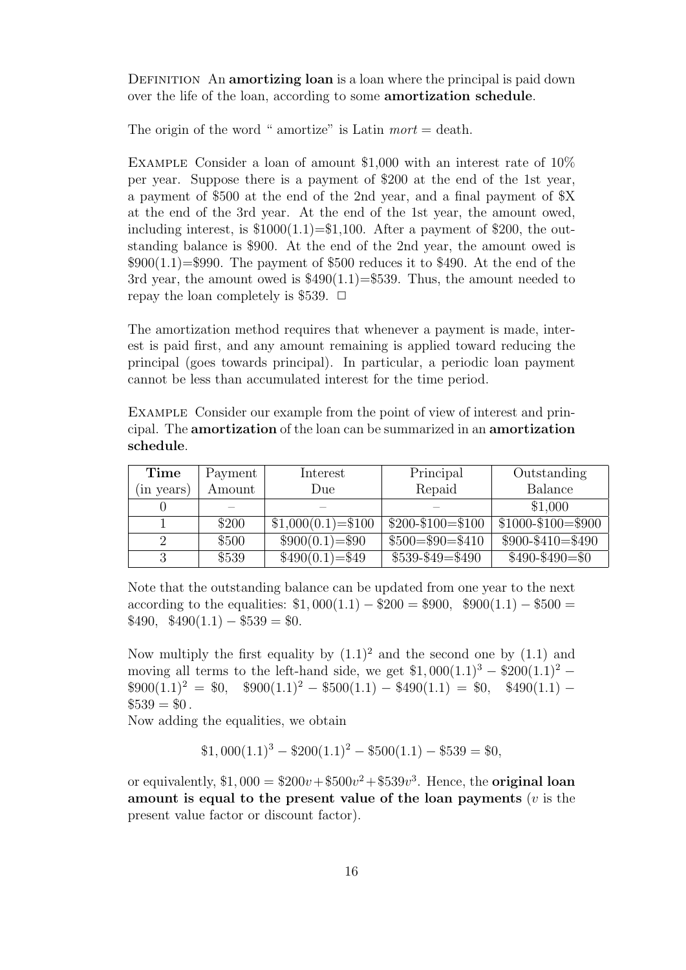DEFINITION An **amortizing loan** is a loan where the principal is paid down over the life of the loan, according to some **amortization schedule**.

The origin of the word " amortize" is Latin *mort* = death.

Example Consider a loan of amount \$1,000 with an interest rate of 10% per year. Suppose there is a payment of \$200 at the end of the 1st year, a payment of \$500 at the end of the 2nd year, and a final payment of \$X at the end of the 3rd year. At the end of the 1st year, the amount owed, including interest, is  $$1000(1.1)=\$1,100$ . After a payment of \$200, the outstanding balance is \$900. At the end of the 2nd year, the amount owed is  $$900(1.1)=$990$ . The payment of \$500 reduces it to \$490. At the end of the 3rd year, the amount owed is  $$490(1.1)=$539$ . Thus, the amount needed to repay the loan completely is \$539.  $\Box$ 

The amortization method requires that whenever a payment is made, interest is paid first, and any amount remaining is applied toward reducing the principal (goes towards principal). In particular, a periodic loan payment cannot be less than accumulated interest for the time period.

Example Consider our example from the point of view of interest and principal. The **amortization** of the loan can be summarized in an **amortization schedule**.

| Time       | Payment | Interest            | Principal            | Outstanding           |
|------------|---------|---------------------|----------------------|-----------------------|
| (in years) | Amount  | Due                 | Repaid               | Balance               |
|            |         |                     |                      | \$1,000               |
|            | \$200   | $$1,000(0.1)=\$100$ | $$200 - $100 = $100$ | $$1000 - $100 = $900$ |
|            | \$500   | $$900(0.1)=\$90$    | $$500 = $90 = $410$  | $$900 - $410 = $490$  |
| $\Omega$   | \$539   | $$490(0.1)=\$49$    | $$539 - $49 = $490$  | $$490-\$490=\$0$      |

Note that the outstanding balance can be updated from one year to the next according to the equalities:  $$1,000(1.1) - $200 = $900$ ,  $$900(1.1) - $500 =$  $$490, \quad $490(1.1) - $539 = $0.$ 

Now multiply the first equality by  $(1.1)^2$  and the second one by  $(1.1)$  and moving all terms to the left-hand side, we get  $$1,000(1.1)<sup>3</sup> - $200(1.1)<sup>2</sup> $900(1.1)^2 = $0$ ,  $$900(1.1)^2 - $500(1.1) - $490(1.1) = $0$ , \$490(1.1) –  $$539 = $0.$ 

Now adding the equalities, we obtain

$$
$1,000(1.1)^3 - $200(1.1)^2 - $500(1.1) - $539 = $0,
$$

or equivalently,  $$1,000 = $200v + $500v^2 + $539v^3$ . Hence, the **original loan amount is equal to the present value of the loan payments** (*v* is the present value factor or discount factor).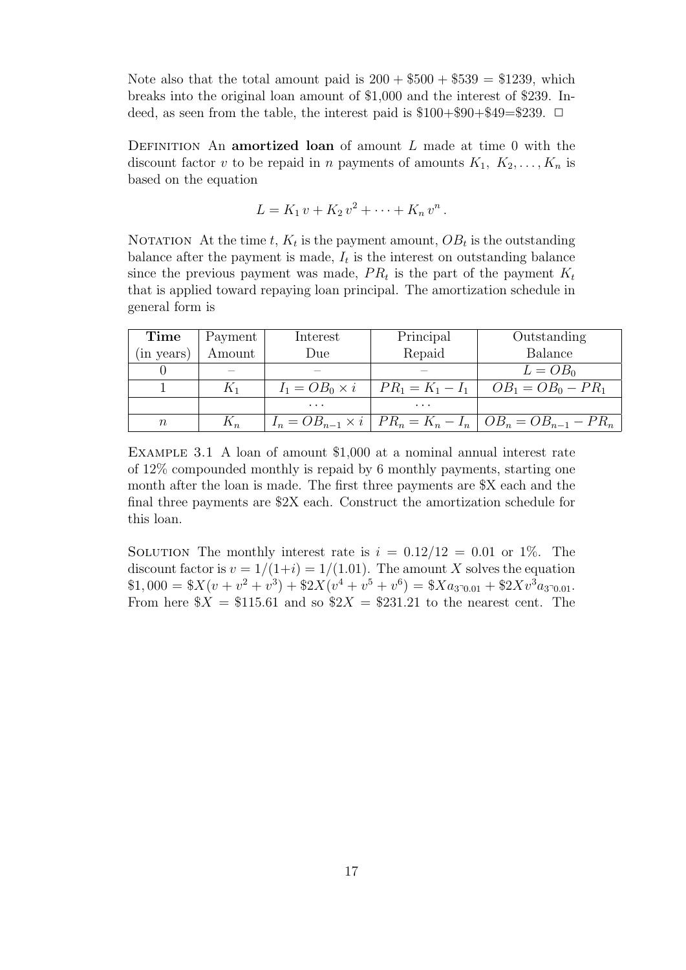Note also that the total amount paid is  $200 + $500 + $539 = $1239$ , which breaks into the original loan amount of \$1,000 and the interest of \$239. Indeed, as seen from the table, the interest paid is  $$100+$90+$49=$239$ .  $\Box$ 

Definition An **amortized loan** of amount *L* made at time 0 with the discount factor *v* to be repaid in *n* payments of amounts  $K_1, K_2, \ldots, K_n$  is based on the equation

$$
L = K_1 v + K_2 v^2 + \cdots + K_n v^n.
$$

NOTATION At the time  $t$ ,  $K_t$  is the payment amount,  $OB_t$  is the outstanding balance after the payment is made,  $I_t$  is the interest on outstanding balance since the previous payment was made,  $PR_t$  is the part of the payment  $K_t$ that is applied toward repaying loan principal. The amortization schedule in general form is

| Time       | Payment | Interest | Principal | Outstanding                                                                 |
|------------|---------|----------|-----------|-----------------------------------------------------------------------------|
| (in years) | Amount  | Due      | Repaid    | <b>Balance</b>                                                              |
|            |         |          |           | $L = OB_0$                                                                  |
|            | K1      |          |           | $I_1 = OB_0 \times i$   $PR_1 = K_1 - I_1$   $OB_1 = OB_0 - PR_1$           |
|            |         | $\cdots$ | $\cdots$  |                                                                             |
| $n\,$      | $K_n$   |          |           | $I_n = OB_{n-1} \times i \mid PR_n = K_n - I_n \mid OB_n = OB_{n-1} - PR_n$ |

Example 3.1 A loan of amount \$1,000 at a nominal annual interest rate of 12% compounded monthly is repaid by 6 monthly payments, starting one month after the loan is made. The first three payments are \$X each and the final three payments are \$2X each. Construct the amortization schedule for this loan.

SOLUTION The monthly interest rate is  $i = 0.12/12 = 0.01$  or 1\%. The discount factor is  $v = 1/(1+i) = 1/(1.01)$ . The amount X solves the equation  $$1,000 = $X(v + v^2 + v^3) + $2X(v^4 + v^5 + v^6) = $Xa_{3\sqrt{0.01}} + $2Xv^3a_{3\sqrt{0.01}}.$ From here  $X = $115.61$  and so  $2X = $231.21$  to the nearest cent. The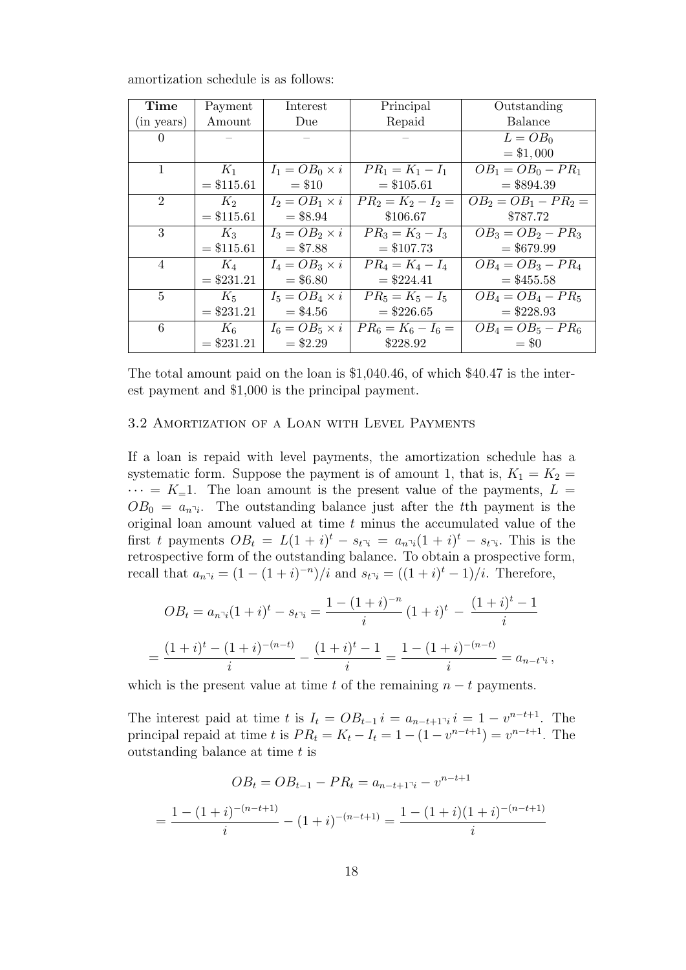| Time                        | Payment      | Interest              | Principal            | Outstanding            |
|-----------------------------|--------------|-----------------------|----------------------|------------------------|
| (in years)                  | Amount       | Due                   | Repaid               | Balance                |
| 0                           |              |                       |                      | $L = OB_0$             |
|                             |              |                       |                      | $= $1,000$             |
| $\mathbf{1}$                | $K_1$        | $I_1 = OB_0 \times i$ | $PR_1 = K_1 - I_1$   | $OB_1 = OB_0 - PR_1$   |
|                             | $= $115.61$  | $= $10$               | $= $105.61$          | $= $894.39$            |
| $\mathcal{D}_{\mathcal{L}}$ | $K_2$        | $I_2 = OB_1 \times i$ | $PR_2 = K_2 - I_2 =$ | $OB_2 = OB_1 - PR_2 =$ |
|                             | $= $115.61$  | $= $8.94$             | \$106.67             | \$787.72               |
| 3                           | $K_3$        | $I_3 = OB_2 \times i$ | $PR_3 = K_3 - I_3$   | $OB_3 = OB_2 - PR_3$   |
|                             | $=$ \$115.61 | $= $7.88$             | $= $107.73$          | $= $679.99$            |
| 4                           | $K_4$        | $I_4 = OB_3 \times i$ | $PR_4 = K_4 - I_4$   | $OB_4 = OB_3 - PR_4$   |
|                             | $= $231.21$  | $= $6.80$             | $= $224.41$          | $=$ \$455.58           |
| $5^{\circ}$                 | $K_5$        | $I_5 = OB_4 \times i$ | $PR_5 = K_5 - I_5$   | $OB_4 = OB_4 - PR_5$   |
|                             | $= $231.21$  | $=$ \$4.56            | $=$ \$226.65         | $= $228.93$            |
| 6                           | $K_6$        | $I_6 = OB_5 \times i$ | $PR_6 = K_6 - I_6 =$ | $OB_4 = OB_5 - PR_6$   |
|                             | $= $231.21$  | $= $2.29$             | \$228.92             | $=$ \$0                |

amortization schedule is as follows:

The total amount paid on the loan is \$1,040.46, of which \$40.47 is the interest payment and \$1,000 is the principal payment.

## 3.2 Amortization of a Loan with Level Payments

If a loan is repaid with level payments, the amortization schedule has a systematic form. Suppose the payment is of amount 1, that is,  $K_1 = K_2$  $\cdots = K_{-1}$ . The loan amount is the present value of the payments,  $L =$  $OB_0 = a_{n\bar{i}}$ . The outstanding balance just after the *t*<sup>th</sup> payment is the original loan amount valued at time *t* minus the accumulated value of the first *t* payments  $OB_t = L(1 + i)^t - s_t$ <sup> $\bar{a}$ </sup> =  $a_{n}$ <sup> $\bar{a}$ </sup> $(1 + i)^t - s_t$ <sup> $\bar{a}$ </sup>. This is the retrospective form of the outstanding balance. To obtain a prospective form, recall that  $a_{n^i} = (1 - (1 + i)^{-n})/i$  and  $s_{t^i} = ((1 + i)^t - 1)/i$ . Therefore,

$$
OB_t = a_{n\bar{i}} (1+i)^t - s_{t\bar{i}} = \frac{1 - (1+i)^{-n}}{i} (1+i)^t - \frac{(1+i)^t - 1}{i}
$$

$$
= \frac{(1+i)^t - (1+i)^{-(n-t)}}{i} - \frac{(1+i)^t - 1}{i} = \frac{1 - (1+i)^{-(n-t)}}{i} = a_{n-t\bar{i}},
$$

which is the present value at time *t* of the remaining  $n - t$  payments.

The interest paid at time *t* is  $I_t = OB_{t-1}$  *i* =  $a_{n-t+1}$ <sub>*i*</sub> *i* = 1 *− v*<sup>*n*-*t*+1</sup>. The principal repaid at time *t* is  $PR_t = K_t - I_t = 1 - (1 - v^{n-t+1}) = v^{n-t+1}$ . The outstanding balance at time *t* is

$$
OB_t = OB_{t-1} - PR_t = a_{n-t+1} - v^{n-t+1}
$$

$$
= \frac{1 - (1+i)^{-(n-t+1)}}{i} - (1+i)^{-(n-t+1)} = \frac{1 - (1+i)(1+i)^{-(n-t+1)}}{i}
$$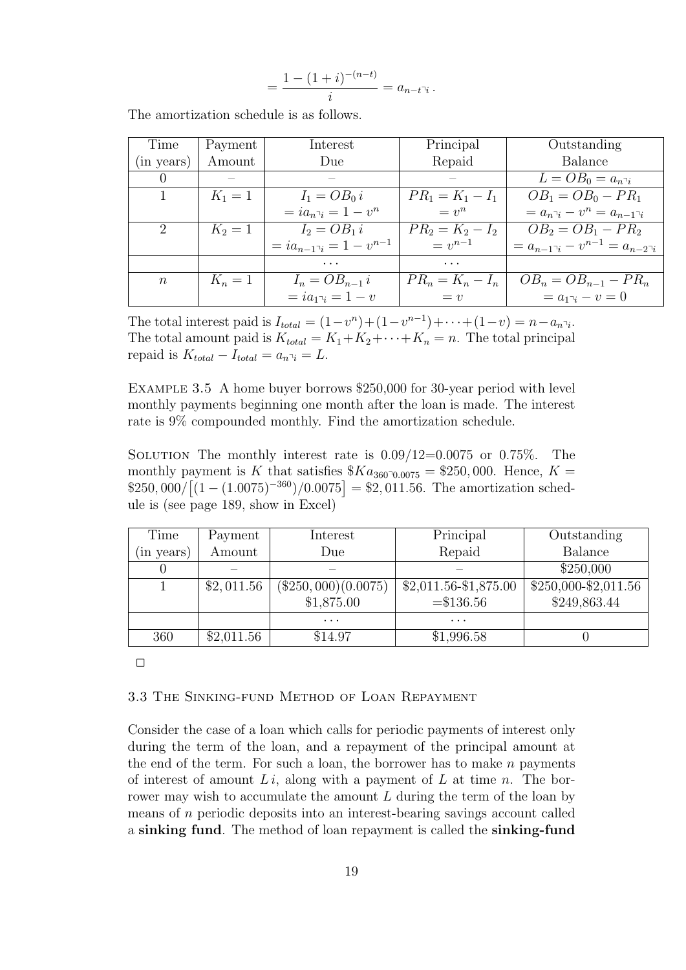$$
=\frac{1-(1+i)^{-(n-t)}}{i}=a_{n-t^{\gamma}i}.
$$

| Time             | Payment   | Interest                                  | Principal          | Outstanding                         |
|------------------|-----------|-------------------------------------------|--------------------|-------------------------------------|
| (in years)       | Amount    | Due                                       | Repaid             | Balance                             |
| $\left( \right)$ |           |                                           |                    | $L = OB_0 = a_{n_i}$                |
|                  | $K_1 = 1$ | $I_1 = OB_0 i$                            | $PR_1 = K_1 - I_1$ | $OB_1 = OB_0 - PR_1$                |
|                  |           | $=ia_{n-i}=1-v^n$                         | $= v^n$            | $= a_{n-i} - v^n = a_{n-1-i}$       |
| 2                | $K_2 = 1$ | $I_2 = OB_1 i$                            | $PR_2 = K_2 - I_2$ | $OB_2 = OB_1 - PR_2$                |
|                  |           | $=ia_{n-1}\overline{a}_{n-1} = 1-v^{n-1}$ | $v^{n-1}$          | $a_{n-1}a_1 - v^{n-1} = a_{n-2}a_1$ |
|                  |           | .                                         | $\cdots$           |                                     |
| $\boldsymbol{n}$ | $K_n=1$   | $I_n = OB_{n-1} i$                        | $PR_n = K_n - I_n$ | $OB_n = OB_{n-1} - PR_n$            |
|                  |           | $= ia_{1}a_{1} = 1 - v$                   | $= v$              | $= a_{1}x_{1} - v = 0$              |

The amortization schedule is as follows.

The total interest paid is  $I_{total} = (1 - v^n) + (1 - v^{n-1}) + \cdots + (1 - v) = n - a_n$ <sup> $\bar{a}$ </sup>. The total amount paid is  $K_{total} = K_1 + K_2 + \cdots + K_n = n$ . The total principal repaid is  $K_{total} - I_{total} = a_{n \bar{\jmath}} = L$ .

Example 3.5 A home buyer borrows \$250,000 for 30-year period with level monthly payments beginning one month after the loan is made. The interest rate is 9% compounded monthly. Find the amortization schedule.

SOLUTION The monthly interest rate is  $0.09/12=0.0075$  or  $0.75\%$ . The monthly payment is *K* that satisfies  $Ka_{36000,0075} = $250,000$ . Hence,  $K =$  $$250,000/[(1 - (1.0075)^{-360})/0.0075] = $2,011.56$ . The amortization schedule is (see page 189, show in Excel)

| Time       | Payment    | Interest              | Principal               | Outstanding            |
|------------|------------|-----------------------|-------------------------|------------------------|
| (in years) | Amount     | Due                   | Repaid                  | Balance                |
|            |            |                       |                         | \$250,000              |
|            | \$2,011.56 | $(\$250,000)(0.0075)$ | $$2,011.56 - $1,875.00$ | $$250,000 - $2,011.56$ |
|            |            | \$1,875.00            | $= $136.56$             | \$249,863.44           |
|            |            | .                     | .                       |                        |
| 360        | \$2,011.56 | \$14.97               | \$1,996.58              |                        |

 $\Box$ 

### 3.3 The Sinking-fund Method of Loan Repayment

Consider the case of a loan which calls for periodic payments of interest only during the term of the loan, and a repayment of the principal amount at the end of the term. For such a loan, the borrower has to make *n* payments of interest of amount *L i*, along with a payment of *L* at time *n*. The borrower may wish to accumulate the amount *L* during the term of the loan by means of *n* periodic deposits into an interest-bearing savings account called a **sinking fund**. The method of loan repayment is called the **sinking-fund**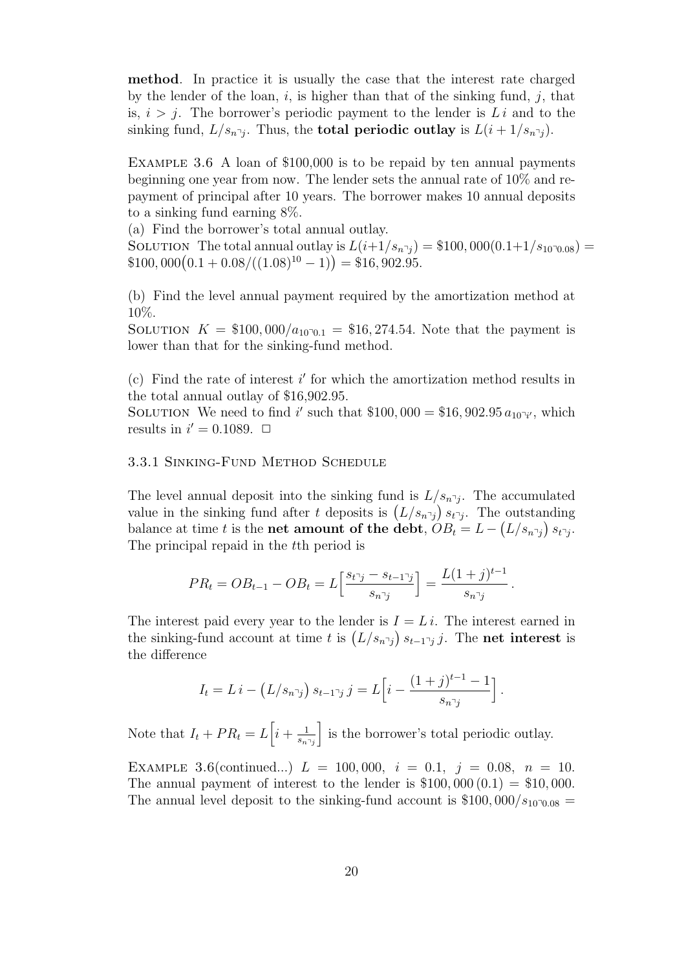**method**. In practice it is usually the case that the interest rate charged by the lender of the loan, *i*, is higher than that of the sinking fund, *j*, that is,  $i > j$ . The borrower's periodic payment to the lender is  $Li$  and to the sinking fund,  $L/s_{n\bar{\jmath}}$ . Thus, the **total periodic outlay** is  $L(i + 1/s_{n\bar{\jmath}})$ .

EXAMPLE 3.6 A loan of \$100,000 is to be repaid by ten annual payments beginning one year from now. The lender sets the annual rate of 10% and repayment of principal after 10 years. The borrower makes 10 annual deposits to a sinking fund earning 8%.

(a) Find the borrower's total annual outlay. SOLUTION The total annual outlay is  $L(i+1/s_{n^2j}) = $100,000(0.1+1/s_{10\text{-}0.08}) =$ 

 $$100,000(0.1 + 0.08/((1.08)^{10} - 1)) = $16,902.95.$ 

(b) Find the level annual payment required by the amortization method at 10%.

SOLUTION  $K = \$100,000/a_{1000} = \$16,274.54$ . Note that the payment is lower than that for the sinking-fund method.

(c) Find the rate of interest *i ′* for which the amortization method results in the total annual outlay of \$16,902.95.

SOLUTION We need to find *i*' such that \$100,000 = \$16,902.95  $a_{10^7 i'}$ , which results in  $i' = 0.1089$ .  $\Box$ 

# 3.3.1 Sinking-Fund Method Schedule

The level annual deposit into the sinking fund is  $L/s_n\gamma_j$ . The accumulated value in the sinking fund after *t* deposits is  $(L/s_n)$   $s_{t}$ <sup> $\gamma$ </sup>. The outstanding balance at time *t* is the **net amount of the debt**,  $OB_t = L - (L/s_n)$   $s_t$ <sup>*y*</sup>. The principal repaid in the *t*th period is

$$
PR_t = OB_{t-1} - OB_t = L\left[\frac{s_{t\bar{\jmath}} - s_{t-1\bar{\jmath}}}{s_{n\bar{\jmath}}}\right] = \frac{L(1+j)^{t-1}}{s_{n\bar{\jmath}}}.
$$

The interest paid every year to the lender is  $I = Li$ . The interest earned in the sinking-fund account at time *t* is  $(L/s_{n\gamma}) s_{t-1\gamma} j$ . The **net interest** is the difference

$$
I_t = Li - (L/s_{n\bar{\jmath}}) s_{t-1\bar{\jmath}} j = L \left[ i - \frac{(1+j)^{t-1} - 1}{s_{n\bar{\jmath}}} \right].
$$

Note that  $I_t + PR_t = L\left[i + \frac{1}{s-1}\right]$  $s_n$ <sub> $\lceil j$ </sub> ] is the borrower's total periodic outlay.

EXAMPLE 3.6(continued...)  $L = 100,000, i = 0.1, j = 0.08, n = 10.$ The annual payment of interest to the lender is  $$100,000(0.1) = $10,000$ . The annual level deposit to the sinking-fund account is  $$100,000/s_{10}$ <sup>-0</sup>.08 =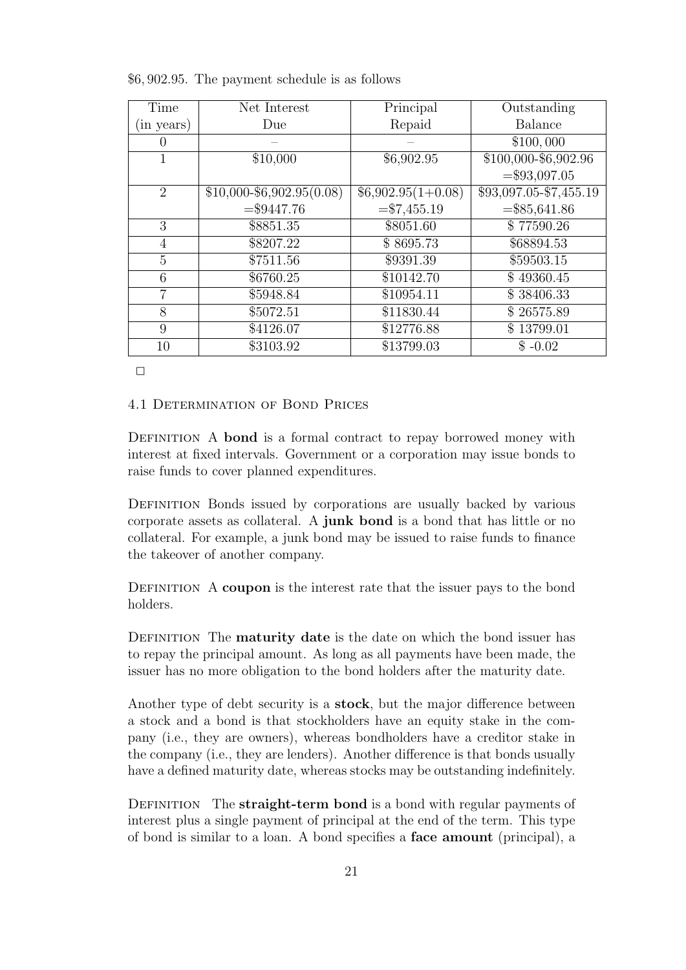| Time           | Net Interest                | Principal              | Outstanding            |
|----------------|-----------------------------|------------------------|------------------------|
| (in years)     | Due                         | Repaid                 | <b>Balance</b>         |
| $\theta$       |                             |                        | \$100,000              |
| 1              | \$10,000                    | \$6,902.95             | \$100,000-\$6,902.96   |
|                |                             |                        | $=\$93,097.05$         |
| $\overline{2}$ | $$10,000 - $6,902.95(0.08)$ | $$6,902.95(1+0.08)$    | \$93,097.05-\$7,455.19 |
|                | $= $9447.76$                | $=\frac{1}{3}7,455.19$ | $=\$85,641.86$         |
| 3              | \$8851.35                   | \$8051.60              | \$77590.26             |
| $\overline{4}$ | \$8207.22                   | \$8695.73              | \$68894.53             |
| 5              | \$7511.56                   | \$9391.39              | \$59503.15             |
| 6              | \$6760.25                   | \$10142.70             | \$49360.45             |
| $\overline{7}$ | \$5948.84                   | \$10954.11             | \$38406.33             |
| 8              | \$5072.51                   | \$11830.44             | \$26575.89             |
| 9              | \$4126.07                   | \$12776.88             | \$13799.01             |
| 10             | \$3103.92                   | \$13799.03             | $$ -0.02$              |

\$6*,* 902*.*95. The payment schedule is as follows

 $\Box$ 

4.1 Determination of Bond Prices

DEFINITION A **bond** is a formal contract to repay borrowed money with interest at fixed intervals. Government or a corporation may issue bonds to raise funds to cover planned expenditures.

DEFINITION Bonds issued by corporations are usually backed by various corporate assets as collateral. A **junk bond** is a bond that has little or no collateral. For example, a junk bond may be issued to raise funds to finance the takeover of another company.

Definition A **coupon** is the interest rate that the issuer pays to the bond holders.

DEFINITION The **maturity date** is the date on which the bond issuer has to repay the principal amount. As long as all payments have been made, the issuer has no more obligation to the bond holders after the maturity date.

Another type of debt security is a **stock**, but the major difference between a stock and a bond is that stockholders have an equity stake in the company (i.e., they are owners), whereas bondholders have a creditor stake in the company (i.e., they are lenders). Another difference is that bonds usually have a defined maturity date, whereas stocks may be outstanding indefinitely.

DEFINITION The **straight-term bond** is a bond with regular payments of interest plus a single payment of principal at the end of the term. This type of bond is similar to a loan. A bond specifies a **face amount** (principal), a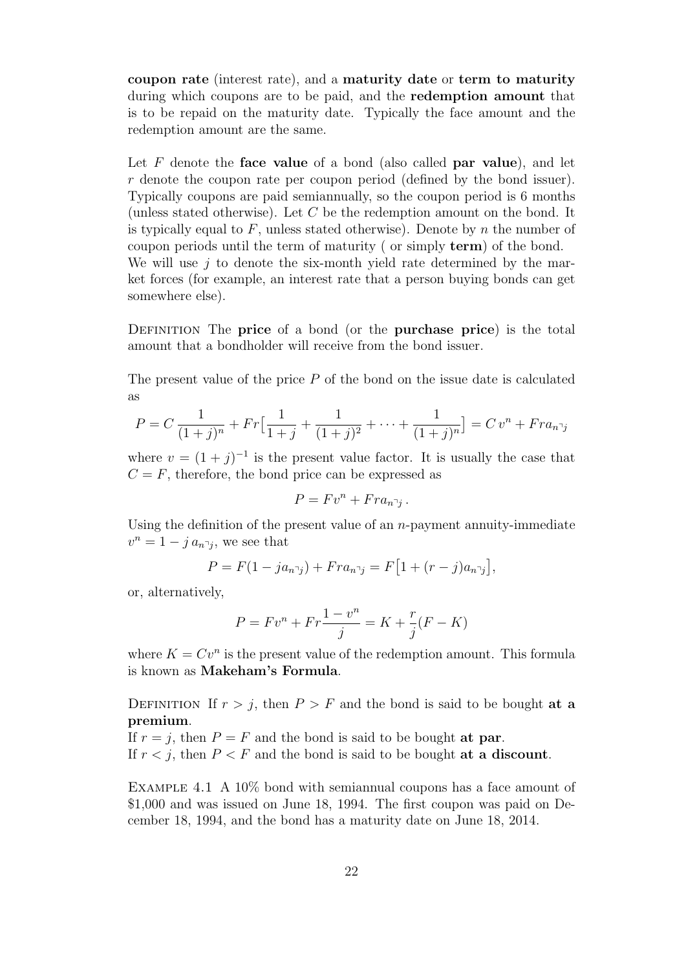**coupon rate** (interest rate), and a **maturity date** or **term to maturity** during which coupons are to be paid, and the **redemption amount** that is to be repaid on the maturity date. Typically the face amount and the redemption amount are the same.

Let *F* denote the **face value** of a bond (also called **par value**), and let *r* denote the coupon rate per coupon period (defined by the bond issuer). Typically coupons are paid semiannually, so the coupon period is 6 months (unless stated otherwise). Let *C* be the redemption amount on the bond. It is typically equal to *F*, unless stated otherwise). Denote by *n* the number of coupon periods until the term of maturity ( or simply **term**) of the bond. We will use *j* to denote the six-month yield rate determined by the market forces (for example, an interest rate that a person buying bonds can get somewhere else).

Definition The **price** of a bond (or the **purchase price**) is the total amount that a bondholder will receive from the bond issuer.

The present value of the price *P* of the bond on the issue date is calculated as

$$
P = C \frac{1}{(1+j)^n} + Fr \Big[ \frac{1}{1+j} + \frac{1}{(1+j)^2} + \dots + \frac{1}{(1+j)^n} \Big] = C v^n + Fr a_{n \bar{j}}
$$

where  $v = (1 + j)^{-1}$  is the present value factor. It is usually the case that  $C = F$ , therefore, the bond price can be expressed as

$$
P = Fv^n + Fra_{n\bar{1}j}.
$$

Using the definition of the present value of an *n*-payment annuity-immediate  $v^n = 1 - ja_{n\gamma}$ , we see that

$$
P = F(1 - ja_{n\bar{j}}) + Fra_{n\bar{j}} = F[1 + (r - j)a_{n\bar{j}}],
$$

or, alternatively,

$$
P = Fv^{n} + Fr \frac{1 - v^{n}}{j} = K + \frac{r}{j}(F - K)
$$

where  $K = Cv^n$  is the present value of the redemption amount. This formula is known as **Makeham's Formula**.

DEFINITION If  $r > j$ , then  $P > F$  and the bond is said to be bought **at a premium**.

If  $r = j$ , then  $P = F$  and the bond is said to be bought **at par**. If  $r < j$ , then  $P < F$  and the bond is said to be bought at a discount.

Example 4.1 A 10% bond with semiannual coupons has a face amount of \$1,000 and was issued on June 18, 1994. The first coupon was paid on December 18, 1994, and the bond has a maturity date on June 18, 2014.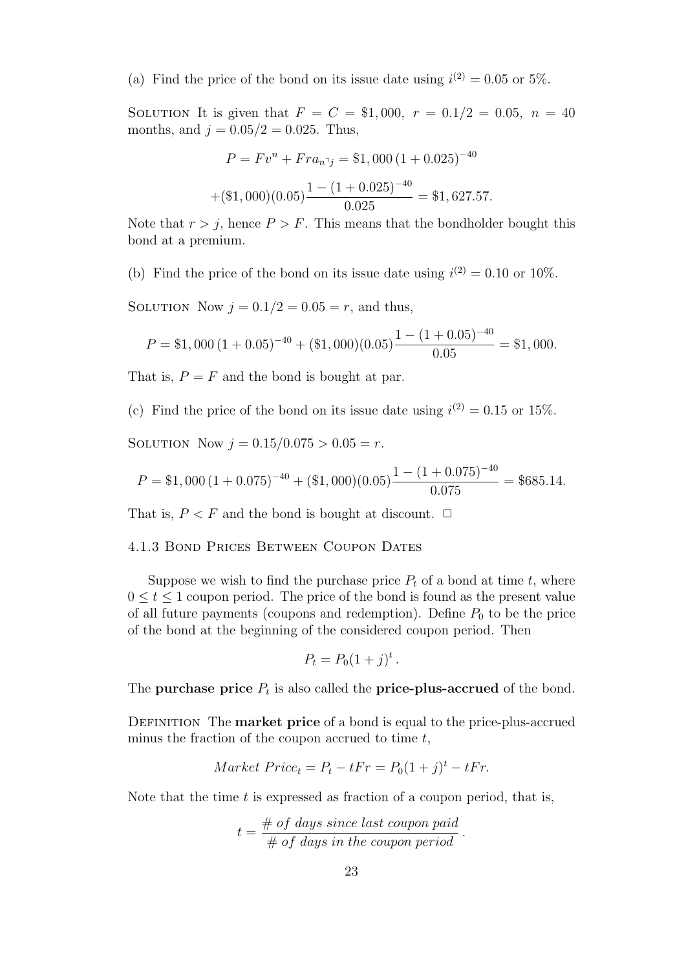(a) Find the price of the bond on its issue date using  $i^{(2)} = 0.05$  or 5%.

SOLUTION It is given that  $F = C = $1,000$ ,  $r = 0.1/2 = 0.05$ ,  $n = 40$ months, and  $j = 0.05/2 = 0.025$ . Thus,

$$
P = Fv^{n} + Fra_{n\gamma} = $1,000 (1 + 0.025)^{-40}
$$

$$
+ ($1,000)(0.05) \frac{1 - (1 + 0.025)^{-40}}{0.025} = $1,627.57.
$$

Note that  $r > j$ , hence  $P > F$ . This means that the bondholder bought this bond at a premium.

(b) Find the price of the bond on its issue date using  $i^{(2)} = 0.10$  or 10%.

SOLUTION Now  $j = 0.1/2 = 0.05 = r$ , and thus,

$$
P = $1,000 (1 + 0.05)^{-40} + ($1,000)(0.05) \frac{1 - (1 + 0.05)^{-40}}{0.05} = $1,000.
$$

That is,  $P = F$  and the bond is bought at par.

(c) Find the price of the bond on its issue date using  $i^{(2)} = 0.15$  or 15%.

SOLUTION Now  $j = 0.15/0.075 > 0.05 = r$ .

$$
P = $1,000 \left(1 + 0.075\right)^{-40} + \left(\$1,000\right)(0.05) \frac{1 - \left(1 + 0.075\right)^{-40}}{0.075} = $685.14.
$$

That is,  $P \leq F$  and the bond is bought at discount.  $\Box$ 

### 4.1.3 Bond Prices Between Coupon Dates

Suppose we wish to find the purchase price  $P_t$  of a bond at time  $t$ , where 0 *≤ t ≤* 1 coupon period. The price of the bond is found as the present value of all future payments (coupons and redemption). Define  $P_0$  to be the price of the bond at the beginning of the considered coupon period. Then

$$
P_t = P_0(1+j)^t.
$$

The **purchase price**  $P_t$  is also called the **price-plus-accrued** of the bond.

Definition The **market price** of a bond is equal to the price-plus-accrued minus the fraction of the coupon accrued to time *t*,

$$
Market\,Price_t = P_t - tFr = P_0(1+j)^t - tFr.
$$

Note that the time *t* is expressed as fraction of a coupon period, that is,

$$
t = \frac{\text{# of days since last coupon paid}}{\text{# of days in the coupon period}}.
$$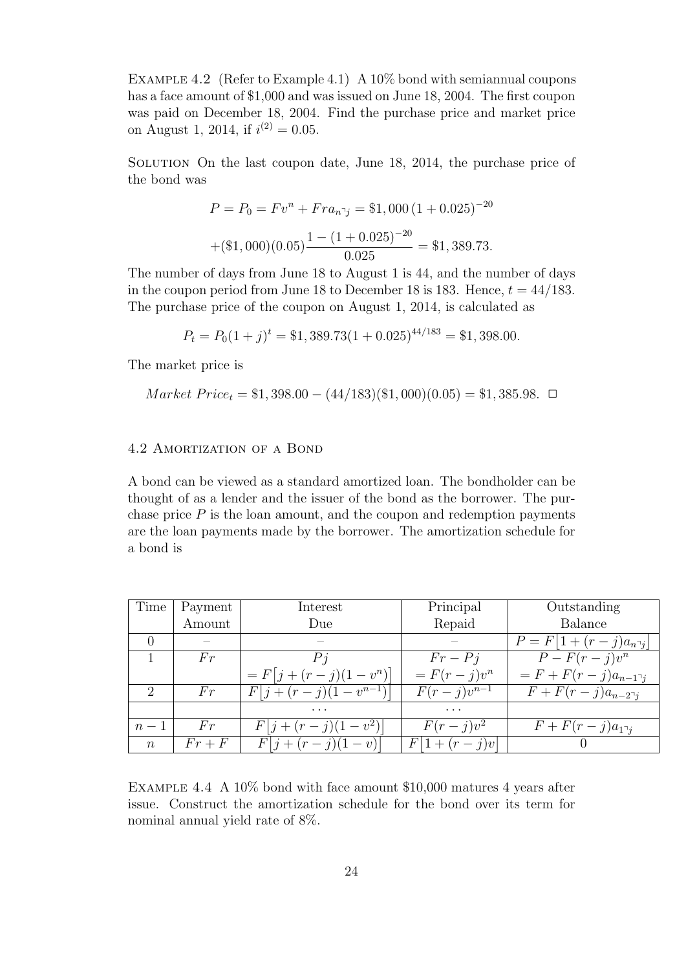Example 4.2 (Refer to Example 4.1) A 10% bond with semiannual coupons has a face amount of \$1,000 and was issued on June 18, 2004. The first coupon was paid on December 18, 2004. Find the purchase price and market price on August 1, 2014, if  $i^{(2)} = 0.05$ .

SOLUTION On the last coupon date, June 18, 2014, the purchase price of the bond was

$$
P = P_0 = Fv^n + Fra_{n\gamma} = $1,000 (1 + 0.025)^{-20}
$$

$$
+ ($1,000)(0.05) \frac{1 - (1 + 0.025)^{-20}}{0.025} = $1,389.73.
$$

The number of days from June 18 to August 1 is 44, and the number of days in the coupon period from June 18 to December 18 is 183. Hence,  $t = 44/183$ . The purchase price of the coupon on August 1, 2014, is calculated as

$$
P_t = P_0(1+j)^t = $1,389.73(1+0.025)^{44/183} = $1,398.00.
$$

The market price is

$$
Market\,Price_t = \$1,398.00 - (44/183)(\$1,000)(0.05) = \$1,385.98.
$$

# 4.2 Amortization of a Bond

A bond can be viewed as a standard amortized loan. The bondholder can be thought of as a lender and the issuer of the bond as the borrower. The purchase price  $P$  is the loan amount, and the coupon and redemption payments are the loan payments made by the borrower. The amortization schedule for a bond is

| Time             | Payment  | Interest                    | Principal       | Outstanding                               |
|------------------|----------|-----------------------------|-----------------|-------------------------------------------|
|                  | Amount   | Due                         | Repaid          | <b>Balance</b>                            |
|                  |          |                             |                 | $P = F 1 + (r - j)a_{n_i}$                |
|                  | Fr       |                             | $Fr-Pi$         | $P-F(r-j)v^n$                             |
|                  |          | $= F[j + (r - j)(1 - v^n)]$ | $= F(r-j)v^n$   | $= F + F(r - j)a_{n-1}$                   |
| 2                | Fr       | $F[j+(r-j)(1-v^{n-1})]$     | $F(r-j)v^{n-1}$ | $\overline{F+F(r-j)}a_{n-2}$ <sub>7</sub> |
|                  |          | .                           | $\cdots$        |                                           |
| $n-1$            | Fr       | $F j+(r-j)(1-v^2) $         | $F(r-j)v^2$     | $F + F(r - j)a_{1}$                       |
| $\boldsymbol{n}$ | $Fr + F$ | $F j+(r-j)(1-v) $           | $F 1+(r-j)v $   |                                           |

Example 4.4 A 10% bond with face amount \$10,000 matures 4 years after issue. Construct the amortization schedule for the bond over its term for nominal annual yield rate of 8%.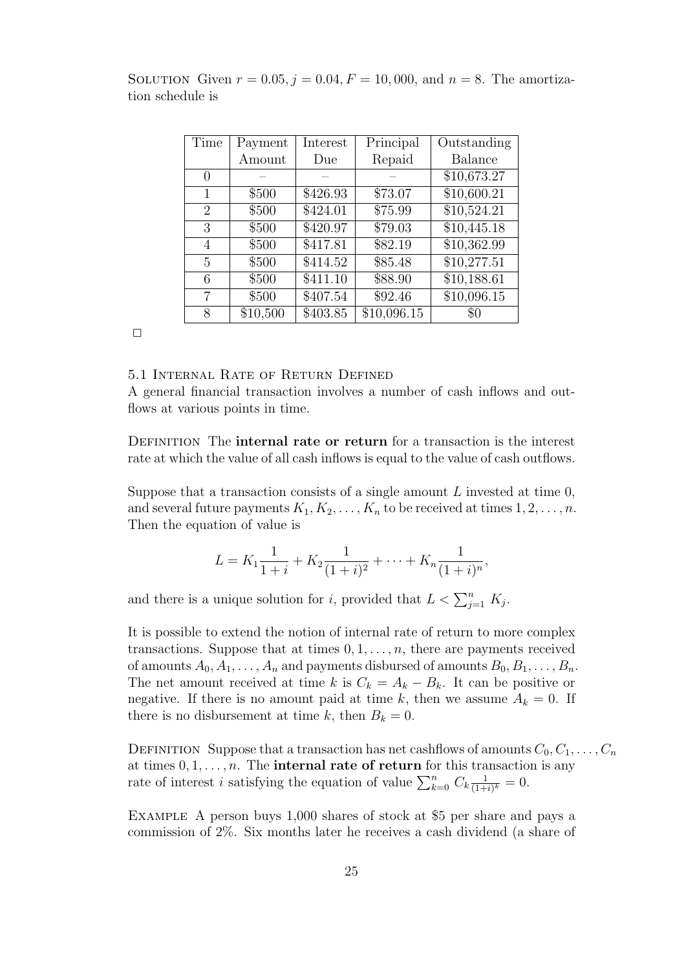| Time           | Payment  | Interest | Principal   | Outstanding    |
|----------------|----------|----------|-------------|----------------|
|                | Amount   | Due      | Repaid      | <b>Balance</b> |
| $\Omega$       |          |          |             | \$10,673.27    |
| 1              | \$500    | \$426.93 | \$73.07     | \$10,600.21    |
| $\overline{2}$ | \$500    | \$424.01 | \$75.99     | \$10,524.21    |
| 3              | \$500    | \$420.97 | \$79.03     | \$10,445.18    |
| 4              | \$500    | \$417.81 | \$82.19     | \$10,362.99    |
| 5              | \$500    | \$414.52 | \$85.48     | \$10,277.51    |
| 6              | \$500    | \$411.10 | \$88.90     | \$10,188.61    |
| 7              | \$500    | \$407.54 | \$92.46     | \$10,096.15    |
| 8              | \$10,500 | \$403.85 | \$10,096.15 | $\$0$          |

SOLUTION Given  $r = 0.05$ ,  $j = 0.04$ ,  $F = 10,000$ , and  $n = 8$ . The amortization schedule is

 $\Box$ 

## 5.1 Internal Rate of Return Defined

A general financial transaction involves a number of cash inflows and outflows at various points in time.

DEFINITION The **internal rate or return** for a transaction is the interest rate at which the value of all cash inflows is equal to the value of cash outflows.

Suppose that a transaction consists of a single amount *L* invested at time 0, and several future payments  $K_1, K_2, \ldots, K_n$  to be received at times  $1, 2, \ldots, n$ . Then the equation of value is

$$
L = K_1 \frac{1}{1+i} + K_2 \frac{1}{(1+i)^2} + \dots + K_n \frac{1}{(1+i)^n},
$$

and there is a unique solution for *i*, provided that  $L < \sum_{j=1}^{n} K_j$ .

It is possible to extend the notion of internal rate of return to more complex transactions. Suppose that at times 0*,* 1*, . . . , n*, there are payments received of amounts  $A_0, A_1, \ldots, A_n$  and payments disbursed of amounts  $B_0, B_1, \ldots, B_n$ . The net amount received at time *k* is  $C_k = A_k - B_k$ . It can be positive or negative. If there is no amount paid at time k, then we assume  $A_k = 0$ . If there is no disbursement at time k, then  $B_k = 0$ .

DEFINITION Suppose that a transaction has net cashflows of amounts  $C_0, C_1, \ldots, C_n$ at times  $0, 1, \ldots, n$ . The **internal rate of return** for this transaction is any rate of interest *i* satisfying the equation of value  $\sum_{k=0}^{n} C_k \frac{1}{(1+k)}$  $\frac{1}{(1+i)^k} = 0.$ 

Example A person buys 1,000 shares of stock at \$5 per share and pays a commission of 2%. Six months later he receives a cash dividend (a share of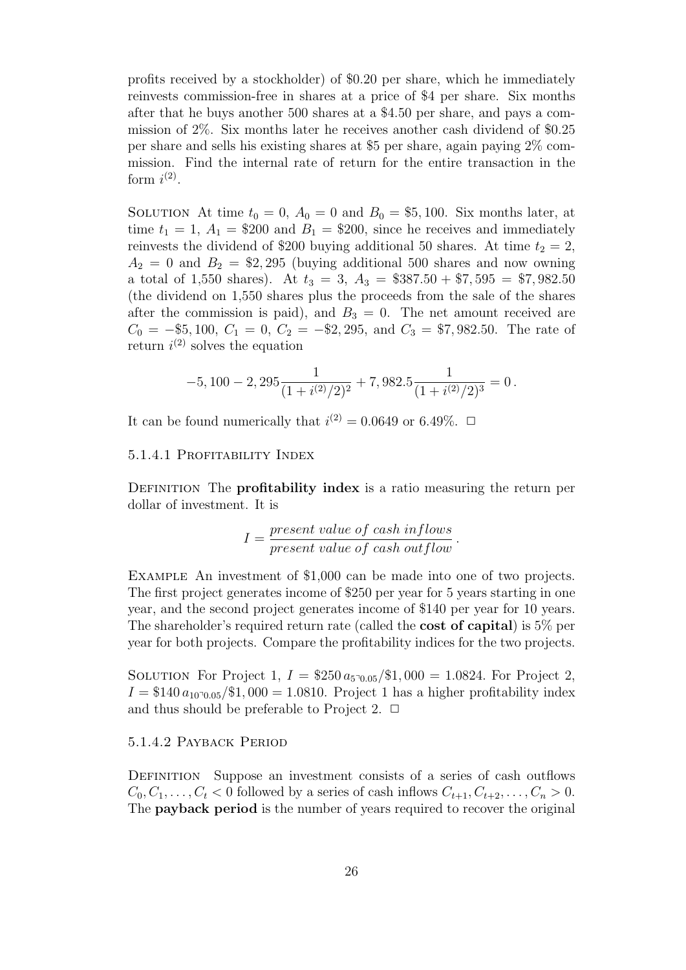profits received by a stockholder) of \$0.20 per share, which he immediately reinvests commission-free in shares at a price of \$4 per share. Six months after that he buys another 500 shares at a \$4.50 per share, and pays a commission of 2%. Six months later he receives another cash dividend of \$0.25 per share and sells his existing shares at \$5 per share, again paying 2% commission. Find the internal rate of return for the entire transaction in the form  $i^{(2)}$ .

SOLUTION At time  $t_0 = 0$ ,  $A_0 = 0$  and  $B_0 = $5,100$ . Six months later, at time  $t_1 = 1$ ,  $A_1 = $200$  and  $B_1 = $200$ , since he receives and immediately reinvests the dividend of \$200 buying additional 50 shares. At time  $t_2 = 2$ ,  $A_2 = 0$  and  $B_2 = $2,295$  (buying additional 500 shares and now owning a total of 1,550 shares). At  $t_3 = 3$ ,  $A_3 = $387.50 + $7,595 = $7,982.50$ (the dividend on 1,550 shares plus the proceeds from the sale of the shares after the commission is paid), and  $B_3 = 0$ . The net amount received are *C*<sub>0</sub> = −\$5, 100, *C*<sub>1</sub> = 0, *C*<sub>2</sub> = −\$2, 295, and *C*<sub>3</sub> = \$7, 982*.*50. The rate of return  $i^{(2)}$  solves the equation

$$
-5,100 - 2,295 \frac{1}{(1 + i^{(2)}/2)^2} + 7,982.5 \frac{1}{(1 + i^{(2)}/2)^3} = 0.
$$

It can be found numerically that  $i^{(2)} = 0.0649$  or 6.49%.  $\Box$ 

## 5.1.4.1 Profitability Index

DEFINITION The **profitability index** is a ratio measuring the return per dollar of investment. It is

$$
I = \frac{present\ value\ of\ cash\ inflows}{present\ value\ of\ cash\ outflow}.
$$

Example An investment of \$1,000 can be made into one of two projects. The first project generates income of \$250 per year for 5 years starting in one year, and the second project generates income of \$140 per year for 10 years. The shareholder's required return rate (called the **cost of capital**) is 5% per year for both projects. Compare the profitability indices for the two projects.

SOLUTION For Project 1,  $I = $250 a_{50,05}/1,000 = 1.0824$ . For Project 2,  $I = $140 a_{1000.05} / $1,000 = 1.0810$ . Project 1 has a higher profitability index and thus should be preferable to Project 2.  $\Box$ 

## 5.1.4.2 Payback Period

DEFINITION Suppose an investment consists of a series of cash outflows  $C_0, C_1, \ldots, C_t < 0$  followed by a series of cash inflows  $C_{t+1}, C_{t+2}, \ldots, C_n > 0$ . The **payback period** is the number of years required to recover the original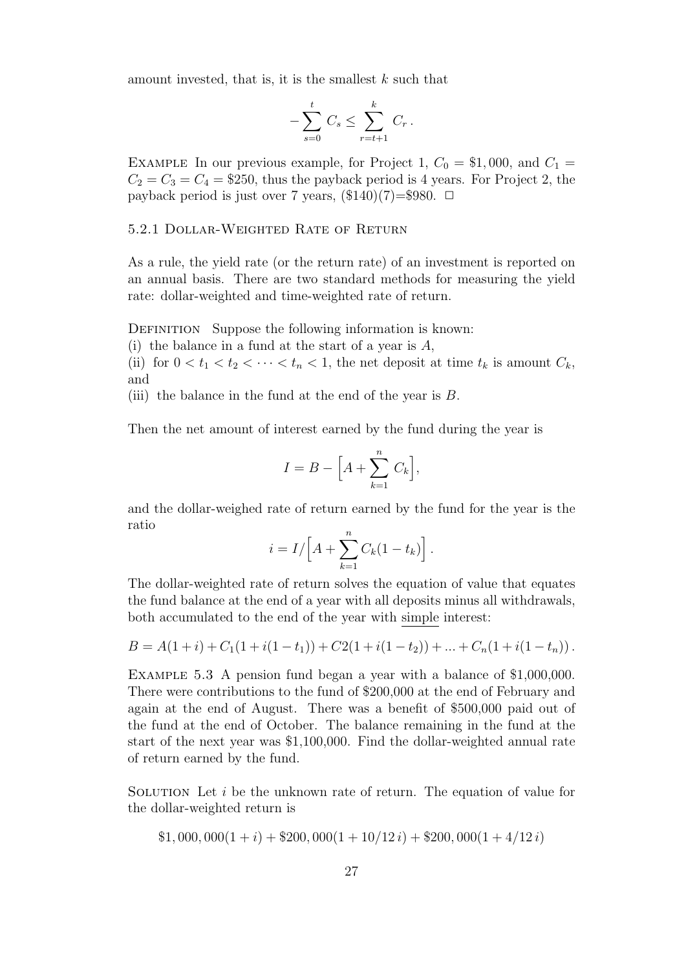amount invested, that is, it is the smallest *k* such that

$$
-\sum_{s=0}^t C_s \le \sum_{r=t+1}^k C_r.
$$

EXAMPLE In our previous example, for Project 1,  $C_0 = $1,000$ , and  $C_1 =$  $C_2 = C_3 = C_4 = $250$ , thus the payback period is 4 years. For Project 2, the payback period is just over 7 years,  $(\$140)(7)=\$980$ .  $\Box$ 

#### 5.2.1 Dollar-Weighted Rate of Return

As a rule, the yield rate (or the return rate) of an investment is reported on an annual basis. There are two standard methods for measuring the yield rate: dollar-weighted and time-weighted rate of return.

DEFINITION Suppose the following information is known:

(i) the balance in a fund at the start of a year is *A*,

(ii) for  $0 < t_1 < t_2 < \cdots < t_n < 1$ , the net deposit at time  $t_k$  is amount  $C_k$ , and

(iii) the balance in the fund at the end of the year is *B*.

Then the net amount of interest earned by the fund during the year is

$$
I = B - \Big[A + \sum_{k=1}^{n} C_k\Big],
$$

and the dollar-weighed rate of return earned by the fund for the year is the ratio

$$
i = I/\left[A + \sum_{k=1}^{n} C_k(1 - t_k)\right].
$$

The dollar-weighted rate of return solves the equation of value that equates the fund balance at the end of a year with all deposits minus all withdrawals, both accumulated to the end of the year with simple interest:

$$
B = A(1+i) + C_1(1+i(1-t_1)) + C2(1+i(1-t_2)) + ... + C_n(1+i(1-t_n)).
$$

Example 5.3 A pension fund began a year with a balance of \$1,000,000. There were contributions to the fund of \$200,000 at the end of February and again at the end of August. There was a benefit of \$500,000 paid out of the fund at the end of October. The balance remaining in the fund at the start of the next year was \$1,100,000. Find the dollar-weighted annual rate of return earned by the fund.

SOLUTION Let *i* be the unknown rate of return. The equation of value for the dollar-weighted return is

$$
$1,000,000(1+i) + $200,000(1+10/12i) + $200,000(1+4/12i)
$$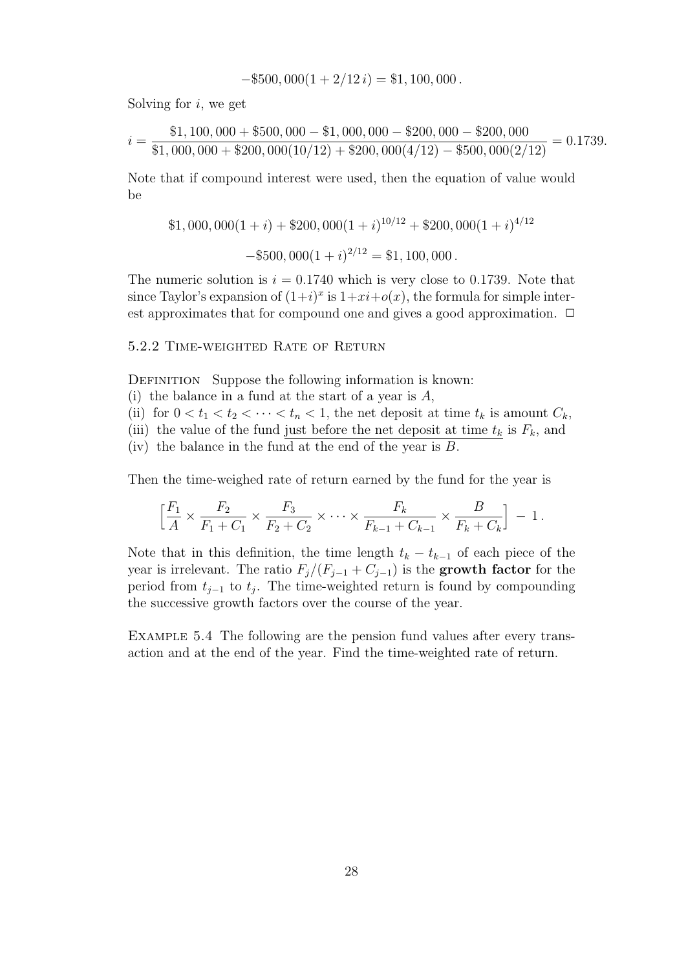$$
-\$500,000(1+2/12 i) = \$1,100,000.
$$

Solving for *i*, we get

$$
i = \frac{\$1,100,000 + \$500,000 - \$1,000,000 - \$200,000 - \$200,000}{\$1,000,000 + \$200,000(10/12) + \$200,000(4/12) - \$500,000(2/12)} = 0.1739.
$$

Note that if compound interest were used, then the equation of value would be

$$
$1,000,000(1+i) + $200,000(1+i)^{10/12} + $200,000(1+i)^{4/12}
$$

$$
-\$500,000(1+i)^{2/12} = \$1,100,000.
$$

The numeric solution is  $i = 0.1740$  which is very close to 0.1739. Note that since Taylor's expansion of  $(1+i)^x$  is  $1+xi+o(x)$ , the formula for simple interest approximates that for compound one and gives a good approximation.  $\Box$ 

## 5.2.2 Time-weighted Rate of Return

DEFINITION Suppose the following information is known:

- (i) the balance in a fund at the start of a year is *A*,
- (ii) for  $0 < t_1 < t_2 < \cdots < t_n < 1$ , the net deposit at time  $t_k$  is amount  $C_k$ ,
- (iii) the value of the fund just before the net deposit at time  $t_k$  is  $F_k$ , and

(iv) the balance in the fund at the end of the year is *B*.

Then the time-weighed rate of return earned by the fund for the year is

$$
\left[\frac{F_1}{A} \times \frac{F_2}{F_1 + C_1} \times \frac{F_3}{F_2 + C_2} \times \dots \times \frac{F_k}{F_{k-1} + C_{k-1}} \times \frac{B}{F_k + C_k}\right] - 1.
$$

Note that in this definition, the time length  $t_k - t_{k-1}$  of each piece of the year is irrelevant. The ratio  $F_j/(F_{j-1} + C_{j-1})$  is the **growth factor** for the period from *t<sup>j</sup>−*<sup>1</sup> to *t<sup>j</sup>* . The time-weighted return is found by compounding the successive growth factors over the course of the year.

Example 5.4 The following are the pension fund values after every transaction and at the end of the year. Find the time-weighted rate of return.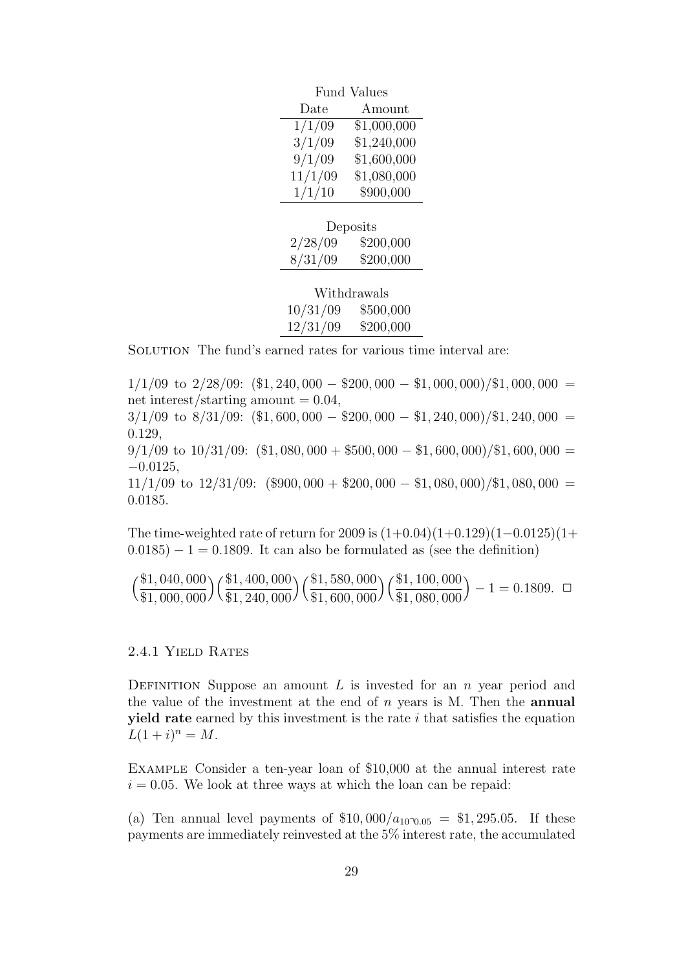|         | <b>Fund Values</b> |
|---------|--------------------|
| Date    | Amount             |
| 1/1/09  | \$1,000,000        |
| 3/1/09  | \$1,240,000        |
| 9/1/09  | \$1,600,000        |
| 11/1/09 | \$1,080,000        |
| 1/1/10  | \$900,000          |
|         |                    |
|         |                    |

| Deposits |           |  |
|----------|-----------|--|
| 2/28/09  | \$200,000 |  |
| 8/31/09  | \$200,000 |  |
|          |           |  |

| Withdrawals |           |  |
|-------------|-----------|--|
| 10/31/09    | \$500,000 |  |
| 12/31/09    | \$200,000 |  |

SOLUTION The fund's earned rates for various time interval are:

1/1/09 to 2/28/09: (\$1*,* 240*,* 000 *−* \$200*,* 000 *−* \$1*,* 000*,* 000)*/*\$1*,* 000*,* 000 = net interest/starting amount  $= 0.04$ , 3/1/09 to 8/31/09: (\$1*,* 600*,* 000 *−* \$200*,* 000 *−* \$1*,* 240*,* 000)*/*\$1*,* 240*,* 000 = 0*.*129,  $9/1/09$  to  $10/31/09$ :  $($1,080,000 + $500,000 - $1,600,000)$ /\$1,600,000 = *−*0*.*0125, 11/1/09 to 12/31/09: (\$900*,* 000 + \$200*,* 000 *−* \$1*,* 080*,* 000)*/*\$1*,* 080*,* 000 = 0*.*0185.

The time-weighted rate of return for 2009 is (1+0*.*04)(1+0*.*129)(1*−*0*.*0125)(1+ 0*.*0185) *−* 1 = 0*.*1809. It can also be formulated as (see the definition)

$$
\left(\frac{\$1,040,000}{\$1,000,000}\right)\left(\frac{\$1,400,000}{\$1,240,000}\right)\left(\frac{\$1,580,000}{\$1,600,000}\right)\left(\frac{\$1,100,000}{\$1,080,000}\right) - 1 = 0.1809. \square
$$

# 2.4.1 Yield Rates

DEFINITION Suppose an amount *L* is invested for an *n* year period and the value of the investment at the end of *n* years is M. Then the **annual yield rate** earned by this investment is the rate *i* that satisfies the equation  $L(1+i)^n = M$ .

Example Consider a ten-year loan of \$10,000 at the annual interest rate  $i = 0.05$ . We look at three ways at which the loan can be repaid:

(a) Ten annual level payments of  $$10,000/a_{100005} = $1,295.05$ . If these payments are immediately reinvested at the 5% interest rate, the accumulated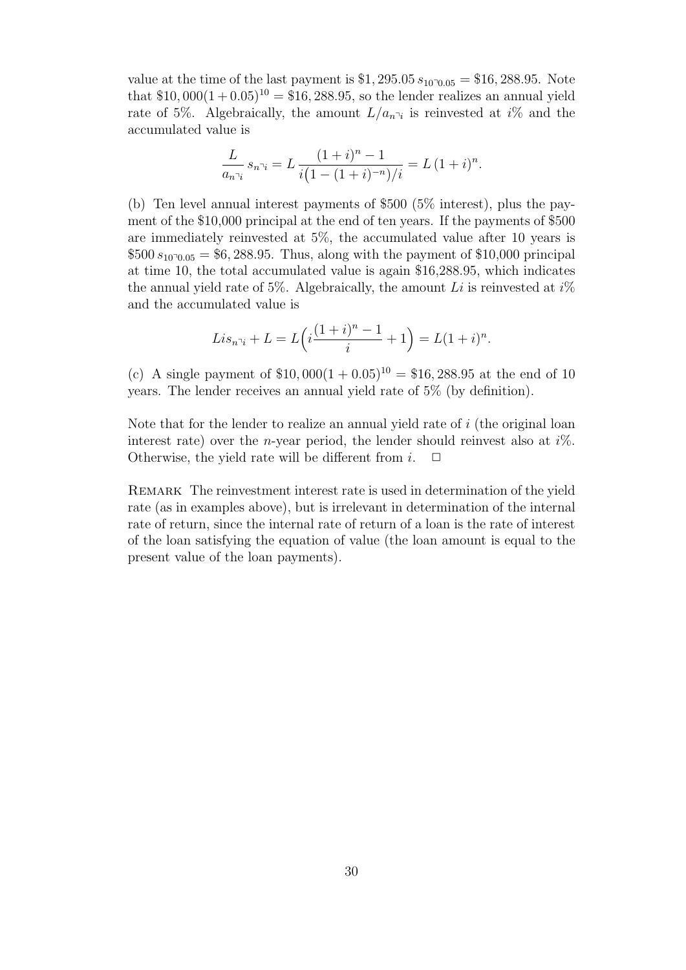value at the time of the last payment is  $$1,295.05 s_{10}$ <sup>0</sup> $0.05 = $16,288.95$ . Note that  $$10,000(1+0.05)^{10} = $16,288.95$ , so the lender realizes an annual yield rate of 5%. Algebraically, the amount  $L/a_{n^2}$  is reinvested at *i*% and the accumulated value is

$$
\frac{L}{a_{n\gamma_i}} s_{n\gamma_i} = L \frac{(1+i)^n - 1}{i(1 - (1+i)^{-n})/i} = L (1+i)^n.
$$

(b) Ten level annual interest payments of \$500 (5% interest), plus the payment of the \$10,000 principal at the end of ten years. If the payments of \$500 are immediately reinvested at 5%, the accumulated value after 10 years is  $$500 s_{10000} = $6,288.95$ . Thus, along with the payment of \$10,000 principal at time 10, the total accumulated value is again \$16,288.95, which indicates the annual yield rate of 5%. Algebraically, the amount *Li* is reinvested at *i*% and the accumulated value is

$$
Lis_{n\gamma_i} + L = L(i\frac{(1+i)^n - 1}{i} + 1) = L(1+i)^n.
$$

(c) A single payment of  $$10,000(1+0.05)^{10} = $16,288.95$  at the end of 10 years. The lender receives an annual yield rate of 5% (by definition).

Note that for the lender to realize an annual yield rate of *i* (the original loan interest rate) over the *n*-year period, the lender should reinvest also at *i*%. Otherwise, the yield rate will be different from  $i$ .  $\Box$ 

Remark The reinvestment interest rate is used in determination of the yield rate (as in examples above), but is irrelevant in determination of the internal rate of return, since the internal rate of return of a loan is the rate of interest of the loan satisfying the equation of value (the loan amount is equal to the present value of the loan payments).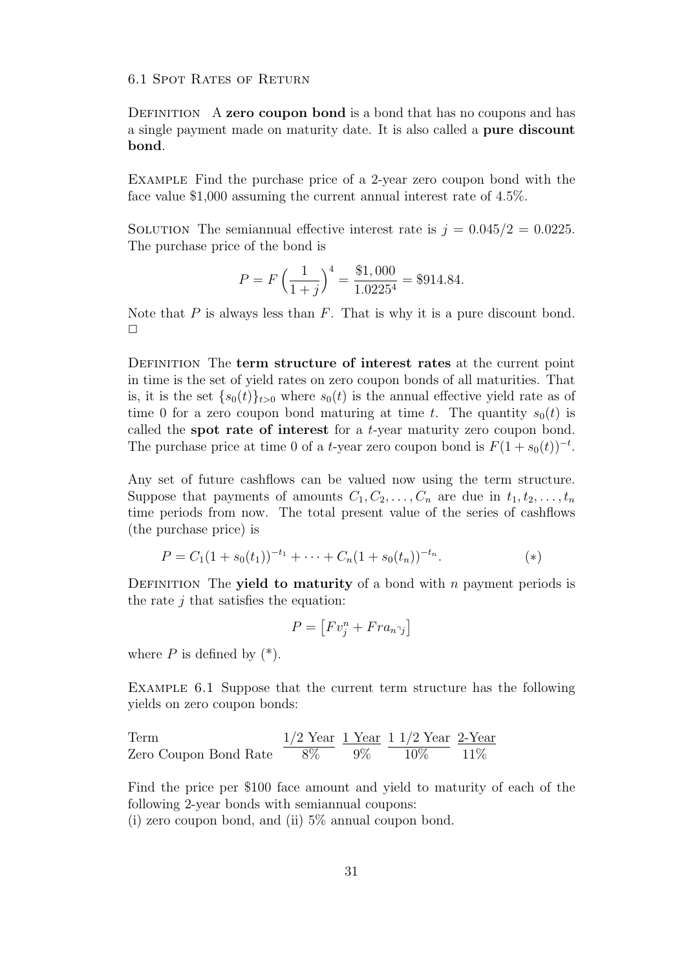6.1 Spot Rates of Return

Definition A **zero coupon bond** is a bond that has no coupons and has a single payment made on maturity date. It is also called a **pure discount bond**.

Example Find the purchase price of a 2-year zero coupon bond with the face value \$1,000 assuming the current annual interest rate of 4.5%.

SOLUTION The semiannual effective interest rate is  $j = 0.045/2 = 0.0225$ . The purchase price of the bond is

$$
P = F\left(\frac{1}{1+j}\right)^4 = \frac{\$1,000}{1.0225^4} = \$914.84.
$$

Note that *P* is always less than *F*. That is why it is a pure discount bond.  $\Box$ 

Definition The **term structure of interest rates** at the current point in time is the set of yield rates on zero coupon bonds of all maturities. That is, it is the set  $\{s_0(t)\}_{t>0}$  where  $s_0(t)$  is the annual effective yield rate as of time 0 for a zero coupon bond maturing at time *t*. The quantity  $s_0(t)$  is called the **spot rate of interest** for a *t*-year maturity zero coupon bond. The purchase price at time 0 of a *t*-year zero coupon bond is  $F(1 + s_0(t))^{-t}$ .

Any set of future cashflows can be valued now using the term structure. Suppose that payments of amounts  $C_1, C_2, \ldots, C_n$  are due in  $t_1, t_2, \ldots, t_n$ time periods from now. The total present value of the series of cashflows (the purchase price) is

$$
P = C_1(1 + s_0(t_1))^{-t_1} + \dots + C_n(1 + s_0(t_n))^{-t_n}.
$$
\n
$$
(*)
$$

DEFINITION The **yield to maturity** of a bond with *n* payment periods is the rate *j* that satisfies the equation:

$$
P = \left[ Fv_j^n + Fra_{n\bar{j}} \right]
$$

where  $P$  is defined by  $(*)$ .

Example 6.1 Suppose that the current term structure has the following yields on zero coupon bonds:

Term  
\nZero Coupon Bond Rate

\n
$$
\frac{1/2 \text{ Year}}{8\%} \frac{1 \text{ Year}}{9\%} \frac{1 \text{ 1/2 Year}}{10\%} \frac{2 \text{Year}}{11\%}
$$

Find the price per \$100 face amount and yield to maturity of each of the following 2-year bonds with semiannual coupons:

(i) zero coupon bond, and (ii) 5% annual coupon bond.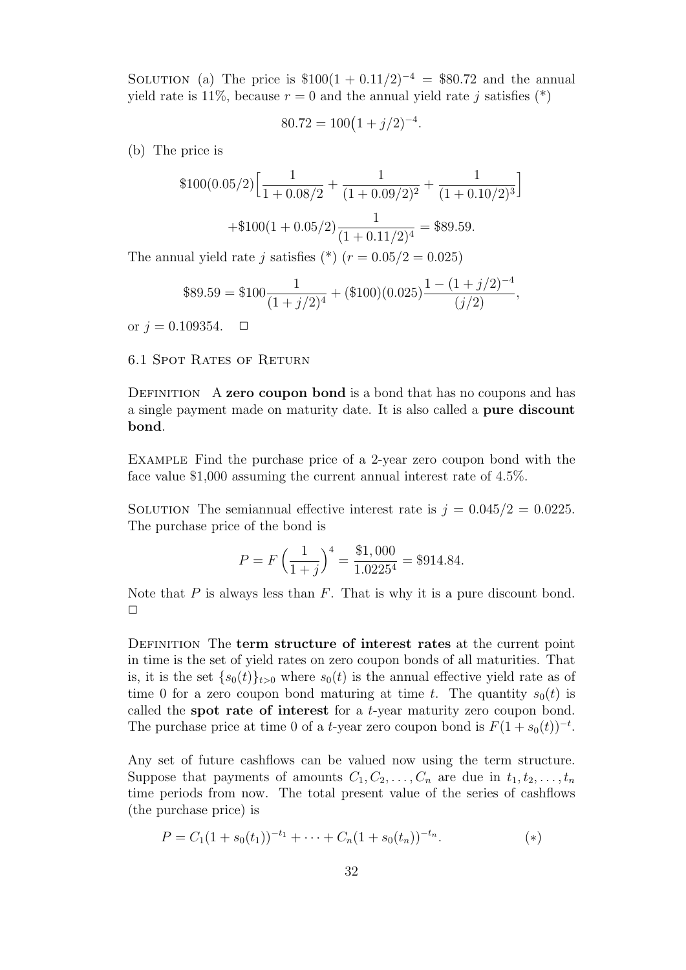SOLUTION (a) The price is  $$100(1 + 0.11/2)^{-4} = $80.72$  and the annual yield rate is 11%, because  $r = 0$  and the annual yield rate *j* satisfies (\*)

$$
80.72 = 100(1+j/2)^{-4}.
$$

(b) The price is

$$
$100(0.05/2)\left[\frac{1}{1+0.08/2} + \frac{1}{(1+0.09/2)^2} + \frac{1}{(1+0.10/2)^3}\right] + $100(1+0.05/2)\frac{1}{(1+0.11/2)^4} = $89.59.
$$

The annual yield rate *j* satisfies  $(*) (r = 0.05/2 = 0.025)$ 

$$
$89.59 = $100 \frac{1}{(1+j/2)^4} + ($100)(0.025) \frac{1 - (1+j/2)^{-4}}{(j/2)},
$$

or  $j = 0.109354$ .  $\Box$ 

6.1 Spot Rates of Return

Definition A **zero coupon bond** is a bond that has no coupons and has a single payment made on maturity date. It is also called a **pure discount bond**.

Example Find the purchase price of a 2-year zero coupon bond with the face value \$1,000 assuming the current annual interest rate of 4.5%.

SOLUTION The semiannual effective interest rate is  $j = 0.045/2 = 0.0225$ . The purchase price of the bond is

$$
P = F\left(\frac{1}{1+j}\right)^4 = \frac{\$1,000}{1.0225^4} = \$914.84.
$$

Note that *P* is always less than *F*. That is why it is a pure discount bond.  $\Box$ 

Definition The **term structure of interest rates** at the current point in time is the set of yield rates on zero coupon bonds of all maturities. That is, it is the set  $\{s_0(t)\}_{t>0}$  where  $s_0(t)$  is the annual effective yield rate as of time 0 for a zero coupon bond maturing at time *t*. The quantity  $s_0(t)$  is called the **spot rate of interest** for a *t*-year maturity zero coupon bond. The purchase price at time 0 of a *t*-year zero coupon bond is  $F(1 + s_0(t))^{-t}$ .

Any set of future cashflows can be valued now using the term structure. Suppose that payments of amounts  $C_1, C_2, \ldots, C_n$  are due in  $t_1, t_2, \ldots, t_n$ time periods from now. The total present value of the series of cashflows (the purchase price) is

$$
P = C_1(1 + s_0(t_1))^{-t_1} + \dots + C_n(1 + s_0(t_n))^{-t_n}.
$$
\n
$$
(*)
$$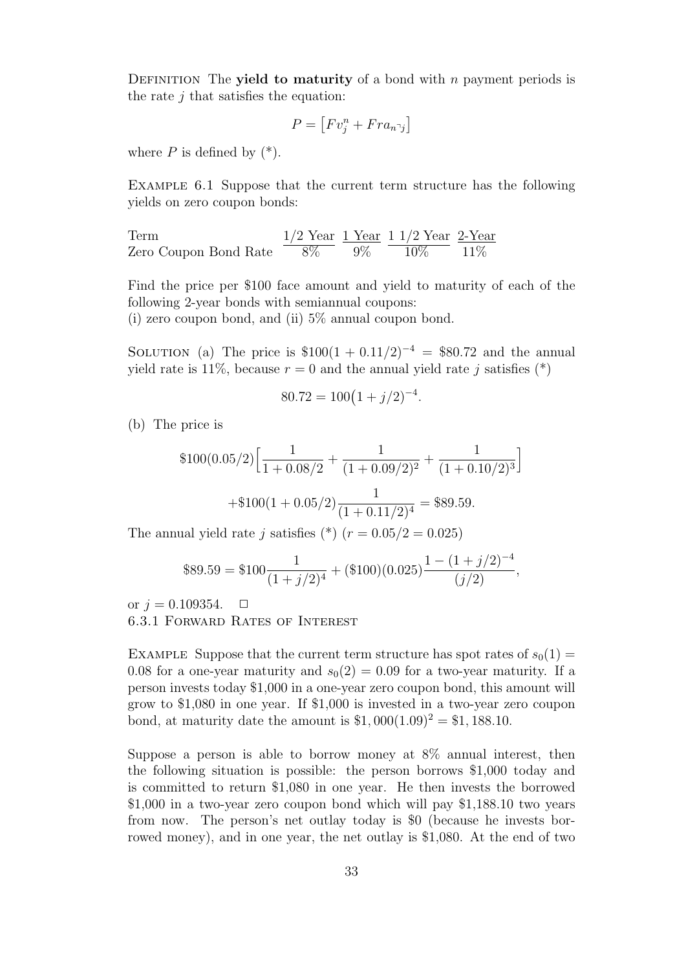Definition The **yield to maturity** of a bond with *n* payment periods is the rate *j* that satisfies the equation:

$$
P = [Fv_j^n + Fra_{n\bar{j}}]
$$

where  $P$  is defined by  $(*)$ .

Example 6.1 Suppose that the current term structure has the following yields on zero coupon bonds:

Term  $1/2$  Year  $1$  Year  $1$  1/2 Year  $2$ -Year Zero Coupon Bond Rate  $8\%$   $9\%$   $10\%$   $11\%$ 

Find the price per \$100 face amount and yield to maturity of each of the following 2-year bonds with semiannual coupons:

(i) zero coupon bond, and (ii) 5% annual coupon bond.

SOLUTION (a) The price is  $$100(1 + 0.11/2)^{-4} = $80.72$  and the annual yield rate is 11%, because  $r = 0$  and the annual yield rate *j* satisfies (\*)

$$
80.72 = 100(1+j/2)^{-4}.
$$

(b) The price is

$$
$100(0.05/2)\left[\frac{1}{1+0.08/2} + \frac{1}{(1+0.09/2)^2} + \frac{1}{(1+0.10/2)^3}\right] + $100(1+0.05/2)\frac{1}{(1+0.11/2)^4} = $89.59.
$$

The annual yield rate *j* satisfies (\*) ( $r = 0.05/2 = 0.025$ )

$$
$89.59 = $100 \frac{1}{(1+j/2)^4} + ($100)(0.025) \frac{1 - (1+j/2)^{-4}}{(j/2)},
$$

or  $j = 0.109354$ .  $\Box$ 6.3.1 Forward Rates of Interest

EXAMPLE Suppose that the current term structure has spot rates of  $s_0(1) =$ 0.08 for a one-year maturity and  $s_0(2) = 0.09$  for a two-year maturity. If a person invests today \$1,000 in a one-year zero coupon bond, this amount will grow to \$1,080 in one year. If \$1,000 is invested in a two-year zero coupon bond, at maturity date the amount is  $$1,000(1.09)^{2} = $1,188.10$ .

Suppose a person is able to borrow money at 8% annual interest, then the following situation is possible: the person borrows \$1,000 today and is committed to return \$1,080 in one year. He then invests the borrowed \$1,000 in a two-year zero coupon bond which will pay \$1,188.10 two years from now. The person's net outlay today is \$0 (because he invests borrowed money), and in one year, the net outlay is \$1,080. At the end of two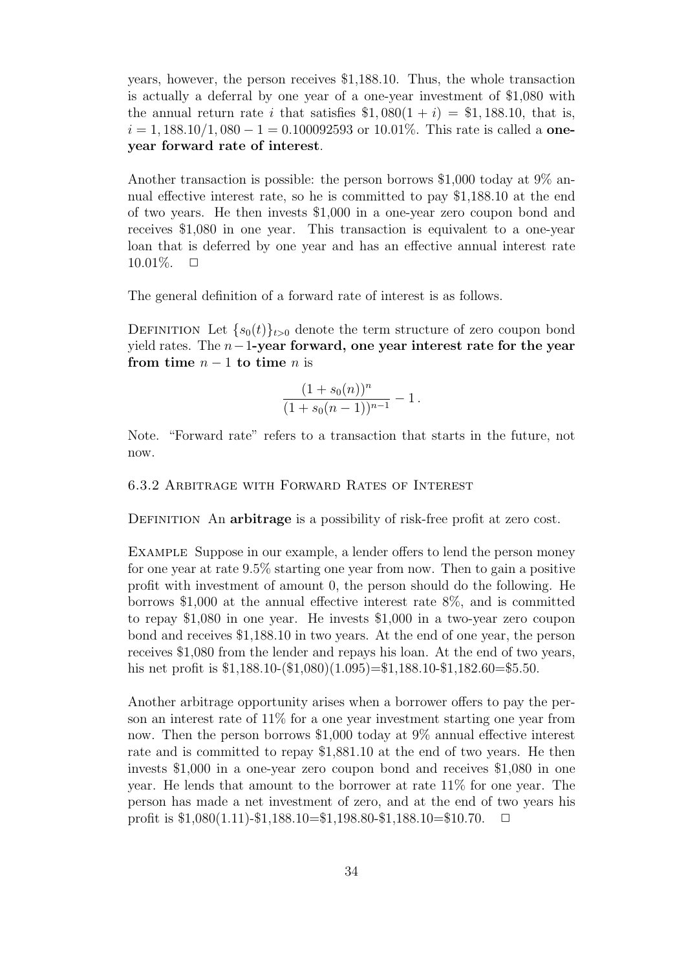years, however, the person receives \$1,188.10. Thus, the whole transaction is actually a deferral by one year of a one-year investment of \$1,080 with the annual return rate *i* that satisfies  $$1,080(1 + i) = $1,188.10$ , that is, *i* = 1*,* 188*.*10*/*1*,* 080 *−* 1 = 0*.*100092593 or 10.01%. This rate is called a **oneyear forward rate of interest**.

Another transaction is possible: the person borrows \$1,000 today at 9% annual effective interest rate, so he is committed to pay \$1,188.10 at the end of two years. He then invests \$1,000 in a one-year zero coupon bond and receives \$1,080 in one year. This transaction is equivalent to a one-year loan that is deferred by one year and has an effective annual interest rate  $10.01\%$ .  $\Box$ 

The general definition of a forward rate of interest is as follows.

DEFINITION Let  ${s_0(t)}_{t>0}$  denote the term structure of zero coupon bond yield rates. The *n−*1**-year forward, one year interest rate for the year from time**  $n-1$  **to time**  $n$  is

$$
\frac{(1+s_0(n))^n}{(1+s_0(n-1))^{n-1}}-1.
$$

Note. "Forward rate" refers to a transaction that starts in the future, not now.

6.3.2 Arbitrage with Forward Rates of Interest

Definition An **arbitrage** is a possibility of risk-free profit at zero cost.

EXAMPLE Suppose in our example, a lender offers to lend the person money for one year at rate 9.5% starting one year from now. Then to gain a positive profit with investment of amount 0, the person should do the following. He borrows \$1,000 at the annual effective interest rate 8%, and is committed to repay \$1,080 in one year. He invests \$1,000 in a two-year zero coupon bond and receives \$1,188.10 in two years. At the end of one year, the person receives \$1,080 from the lender and repays his loan. At the end of two years, his net profit is  $$1,188.10-(\$1,080)(1.095)=\$1,188.10-\$1,182.60=\$5.50.$ 

Another arbitrage opportunity arises when a borrower offers to pay the person an interest rate of 11% for a one year investment starting one year from now. Then the person borrows \$1,000 today at 9% annual effective interest rate and is committed to repay \$1,881.10 at the end of two years. He then invests \$1,000 in a one-year zero coupon bond and receives \$1,080 in one year. He lends that amount to the borrower at rate 11% for one year. The person has made a net investment of zero, and at the end of two years his profit is  $$1,080(1.11)$ - $$1,188.10=$  $$1,198.80$ - $$1,188.10=$  $$10.70$ .  $\Box$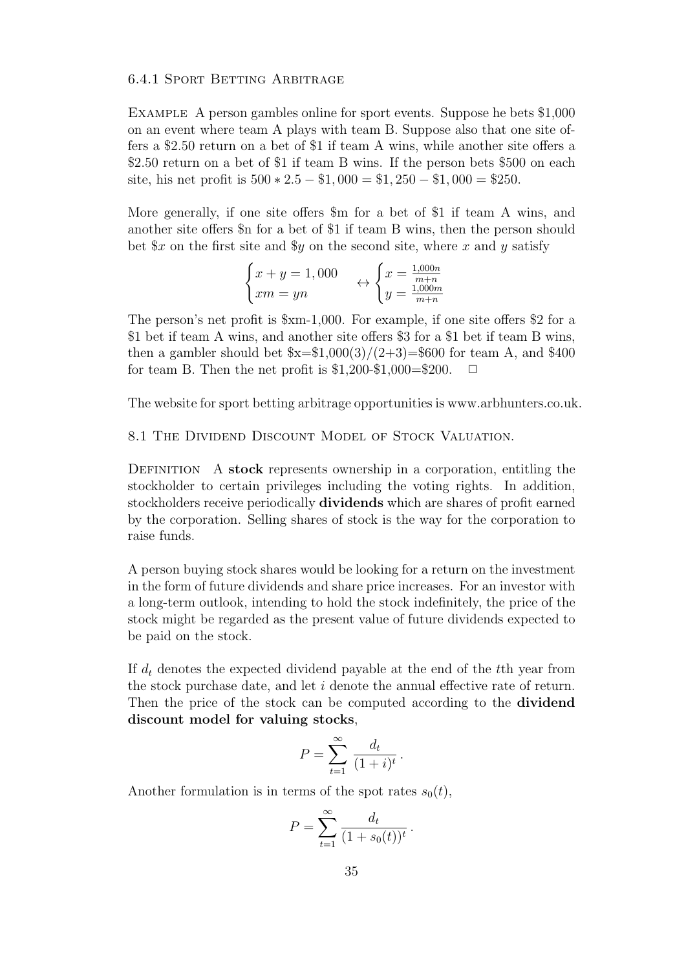#### 6.4.1 Sport Betting Arbitrage

Example A person gambles online for sport events. Suppose he bets \$1,000 on an event where team A plays with team B. Suppose also that one site offers a \$2.50 return on a bet of \$1 if team A wins, while another site offers a \$2.50 return on a bet of \$1 if team B wins. If the person bets \$500 on each site, his net profit is  $500 * 2.5 - 1,000 = 1,250 - 1,000 = 250$ .

More generally, if one site offers \$m for a bet of \$1 if team A wins, and another site offers \$n for a bet of \$1 if team B wins, then the person should bet  $x$  on the first site and  $y$  on the second site, where *x* and *y* satisfy

$$
\begin{cases}\nx + y = 1,000 \\
xm = yn\n\end{cases}\n\leftrightarrow\n\begin{cases}\nx = \frac{1,000n}{m+n} \\
y = \frac{1,000m}{m+n}\n\end{cases}
$$

The person's net profit is \$xm-1,000. For example, if one site offers \$2 for a \$1 bet if team A wins, and another site offers \$3 for a \$1 bet if team B wins, then a gambler should bet  $x=\frac{1000(3)}{2+3}$ =\$600 for team A, and \$400 for team B. Then the net profit is  $$1,200-\$1,000=\$200$ .  $\Box$ 

The website for sport betting arbitrage opportunities is www.arbhunters.co.uk.

8.1 THE DIVIDEND DISCOUNT MODEL OF STOCK VALUATION.

DEFINITION A **stock** represents ownership in a corporation, entitling the stockholder to certain privileges including the voting rights. In addition, stockholders receive periodically **dividends** which are shares of profit earned by the corporation. Selling shares of stock is the way for the corporation to raise funds.

A person buying stock shares would be looking for a return on the investment in the form of future dividends and share price increases. For an investor with a long-term outlook, intending to hold the stock indefinitely, the price of the stock might be regarded as the present value of future dividends expected to be paid on the stock.

If *d<sup>t</sup>* denotes the expected dividend payable at the end of the *t*th year from the stock purchase date, and let *i* denote the annual effective rate of return. Then the price of the stock can be computed according to the **dividend discount model for valuing stocks**,

$$
P = \sum_{t=1}^{\infty} \frac{d_t}{(1+i)^t}.
$$

Another formulation is in terms of the spot rates  $s_0(t)$ ,

$$
P = \sum_{t=1}^{\infty} \frac{d_t}{(1 + s_0(t))^t} \, .
$$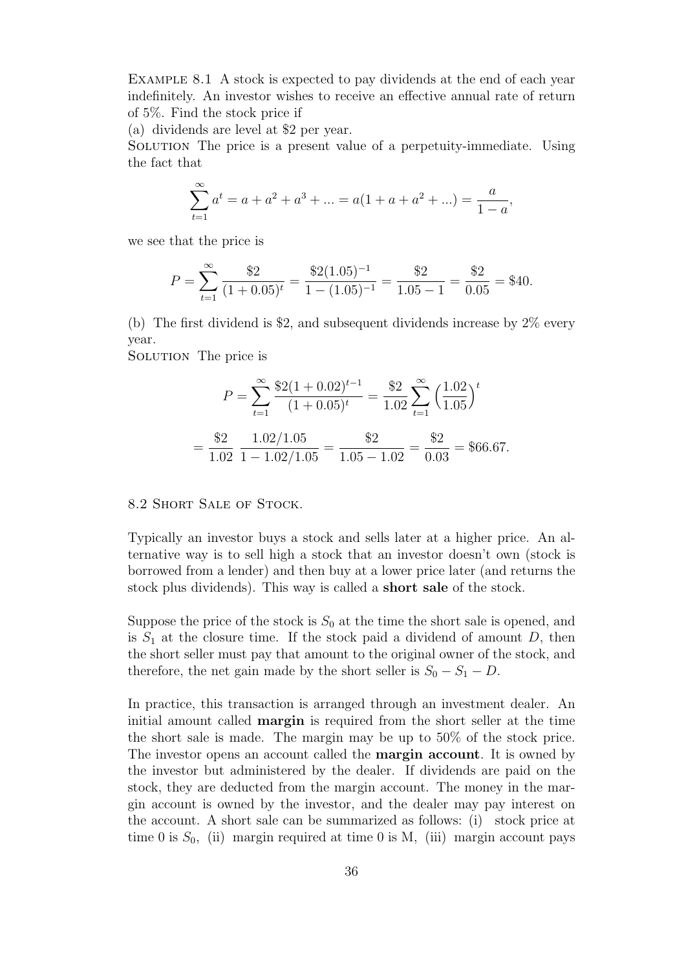Example 8.1 A stock is expected to pay dividends at the end of each year indefinitely. An investor wishes to receive an effective annual rate of return of 5%. Find the stock price if

(a) dividends are level at \$2 per year.

Solution The price is a present value of a perpetuity-immediate. Using the fact that

$$
\sum_{t=1}^{\infty} a^t = a + a^2 + a^3 + \dots = a(1 + a + a^2 + \dots) = \frac{a}{1 - a},
$$

we see that the price is

$$
P = \sum_{t=1}^{\infty} \frac{\$2}{(1+0.05)^t} = \frac{\$2(1.05)^{-1}}{1-(1.05)^{-1}} = \frac{\$2}{1.05-1} = \frac{\$2}{0.05} = \$40.
$$

(b) The first dividend is \$2, and subsequent dividends increase by 2% every year.

SOLUTION The price is

$$
P = \sum_{t=1}^{\infty} \frac{\$2(1+0.02)^{t-1}}{(1+0.05)^t} = \frac{\$2}{1.02} \sum_{t=1}^{\infty} \left(\frac{1.02}{1.05}\right)^t
$$

$$
= \frac{\$2}{1.02} \frac{1.02/1.05}{1-1.02/1.05} = \frac{\$2}{1.05-1.02} = \frac{\$2}{0.03} = \$66.67.
$$

8.2 Short Sale of Stock.

Typically an investor buys a stock and sells later at a higher price. An alternative way is to sell high a stock that an investor doesn't own (stock is borrowed from a lender) and then buy at a lower price later (and returns the stock plus dividends). This way is called a **short sale** of the stock.

Suppose the price of the stock is  $S_0$  at the time the short sale is opened, and is  $S_1$  at the closure time. If the stock paid a dividend of amount  $D$ , then the short seller must pay that amount to the original owner of the stock, and therefore, the net gain made by the short seller is  $S_0 - S_1 - D$ .

In practice, this transaction is arranged through an investment dealer. An initial amount called **margin** is required from the short seller at the time the short sale is made. The margin may be up to 50% of the stock price. The investor opens an account called the **margin account**. It is owned by the investor but administered by the dealer. If dividends are paid on the stock, they are deducted from the margin account. The money in the margin account is owned by the investor, and the dealer may pay interest on the account. A short sale can be summarized as follows: (i) stock price at time 0 is  $S_0$ , (ii) margin required at time 0 is M, (iii) margin account pays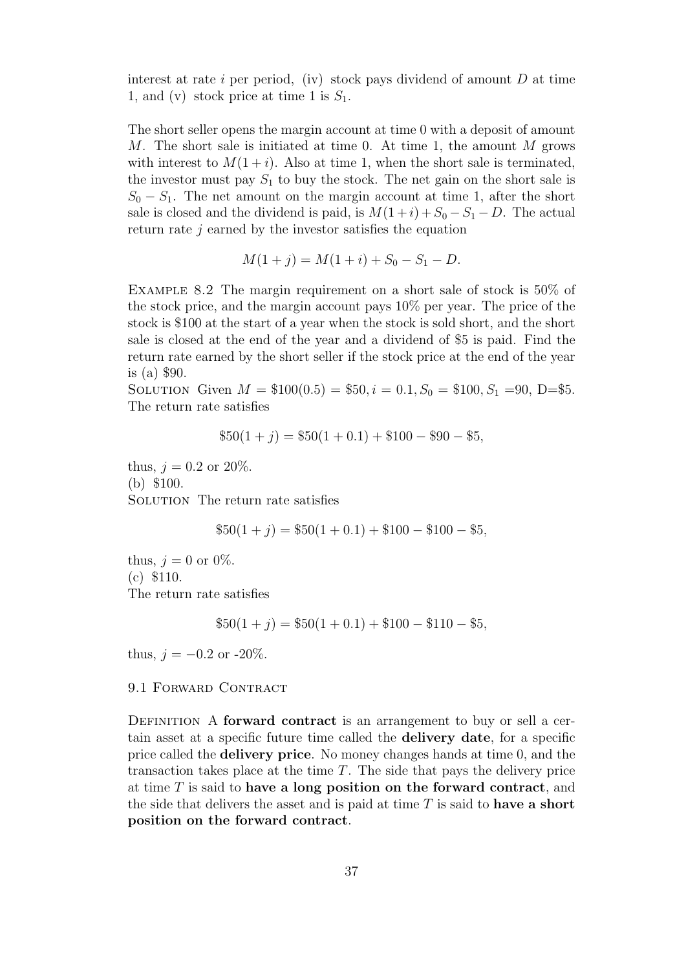interest at rate *i* per period, (iv) stock pays dividend of amount *D* at time 1, and (v) stock price at time 1 is  $S_1$ .

The short seller opens the margin account at time 0 with a deposit of amount *M*. The short sale is initiated at time 0. At time 1, the amount *M* grows with interest to  $M(1+i)$ . Also at time 1, when the short sale is terminated, the investor must pay  $S_1$  to buy the stock. The net gain on the short sale is  $S_0 - S_1$ . The net amount on the margin account at time 1, after the short sale is closed and the dividend is paid, is  $M(1+i) + S_0 - S_1 - D$ . The actual return rate *j* earned by the investor satisfies the equation

$$
M(1+j) = M(1+i) + S_0 - S_1 - D.
$$

Example 8.2 The margin requirement on a short sale of stock is 50% of the stock price, and the margin account pays 10% per year. The price of the stock is \$100 at the start of a year when the stock is sold short, and the short sale is closed at the end of the year and a dividend of \$5 is paid. Find the return rate earned by the short seller if the stock price at the end of the year is (a) \$90.

SOLUTION Given  $M = $100(0.5) = $50, i = 0.1, S_0 = $100, S_1 = 90, D = $5.$ The return rate satisfies

$$
$50(1+j) = $50(1+0.1) + $100 - $90 - $5,
$$

thus,  $j = 0.2$  or  $20\%$ . (b) \$100. SOLUTION The return rate satisfies

$$
$50(1+j) = $50(1+0.1) + $100 - $100 - $5,
$$

thus,  $j = 0$  or 0%. (c) \$110. The return rate satisfies

$$
$50(1+j) = $50(1+0.1) + $100 - $110 - $5,
$$

thus,  $j = -0.2$  or  $-20\%$ .

#### 9.1 FORWARD CONTRACT

Definition A **forward contract** is an arrangement to buy or sell a certain asset at a specific future time called the **delivery date**, for a specific price called the **delivery price**. No money changes hands at time 0, and the transaction takes place at the time *T*. The side that pays the delivery price at time *T* is said to **have a long position on the forward contract**, and the side that delivers the asset and is paid at time *T* is said to **have a short position on the forward contract**.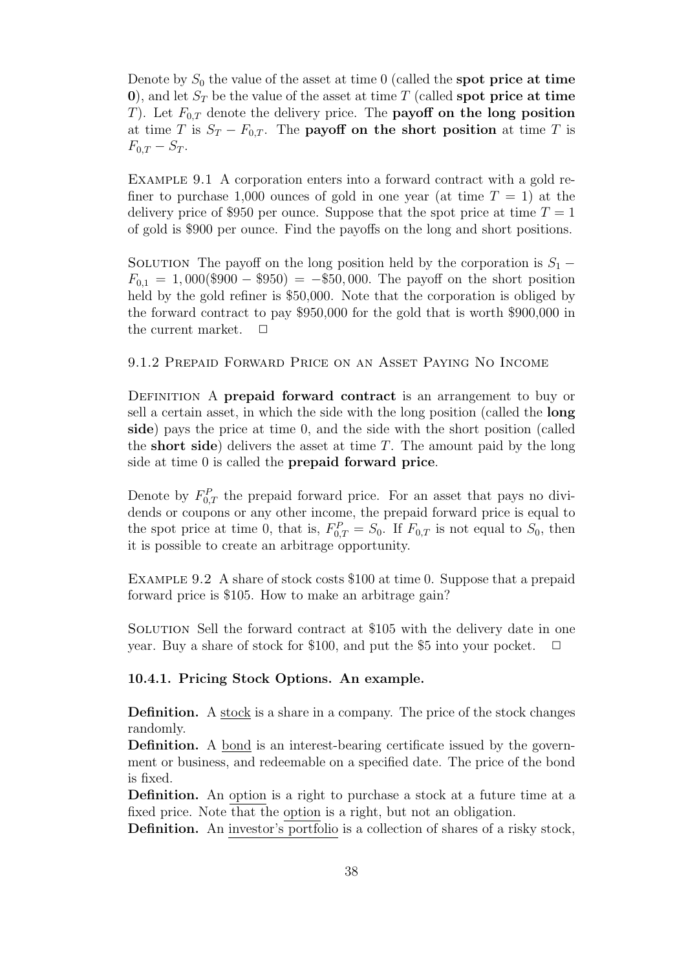Denote by *S*<sup>0</sup> the value of the asset at time 0 (called the **spot price at time 0**), and let *S<sup>T</sup>* be the value of the asset at time *T* (called **spot price at time** *T*). Let *F*0*,T* denote the delivery price. The **payoff on the long position** at time *T* is  $S_T - F_{0,T}$ . The **payoff** on the short position at time *T* is  $F_{0,T} - S_T$ .

Example 9.1 A corporation enters into a forward contract with a gold refiner to purchase 1,000 ounces of gold in one year (at time  $T = 1$ ) at the delivery price of \$950 per ounce. Suppose that the spot price at time  $T = 1$ of gold is \$900 per ounce. Find the payoffs on the long and short positions.

SOLUTION The payoff on the long position held by the corporation is  $S_1$  − *F*0*,*<sup>1</sup> = 1*,* 000(\$900 *−* \$950) = *−*\$50*,* 000*.* The payoff on the short position held by the gold refiner is \$50,000. Note that the corporation is obliged by the forward contract to pay \$950,000 for the gold that is worth \$900,000 in the current market.  $\Box$ 

## 9.1.2 Prepaid Forward Price on an Asset Paying No Income

DEFINITION A **prepaid forward contract** is an arrangement to buy or sell a certain asset, in which the side with the long position (called the **long side**) pays the price at time 0, and the side with the short position (called the **short side**) delivers the asset at time *T*. The amount paid by the long side at time 0 is called the **prepaid forward price**.

Denote by  $F_{0,T}^P$  the prepaid forward price. For an asset that pays no dividends or coupons or any other income, the prepaid forward price is equal to the spot price at time 0, that is,  $F_{0,T}^P = S_0$ . If  $F_{0,T}$  is not equal to  $S_0$ , then it is possible to create an arbitrage opportunity.

Example 9.2 A share of stock costs \$100 at time 0. Suppose that a prepaid forward price is \$105. How to make an arbitrage gain?

Solution Sell the forward contract at \$105 with the delivery date in one year. Buy a share of stock for \$100, and put the \$5 into your pocket.

## **10.4.1. Pricing Stock Options. An example.**

**Definition.** A stock is a share in a company. The price of the stock changes randomly.

**Definition.** A bond is an interest-bearing certificate issued by the government or business, and redeemable on a specified date. The price of the bond is fixed.

**Definition.** An option is a right to purchase a stock at a future time at a fixed price. Note that the option is a right, but not an obligation.

**Definition.** An investor's portfolio is a collection of shares of a risky stock,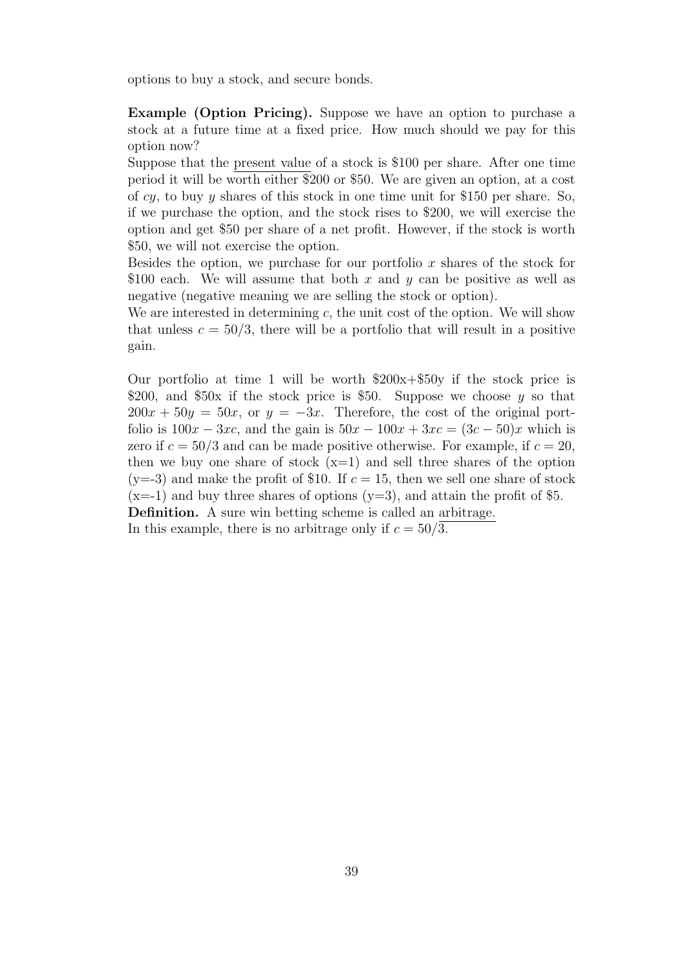options to buy a stock, and secure bonds.

**Example (Option Pricing).** Suppose we have an option to purchase a stock at a future time at a fixed price. How much should we pay for this option now?

Suppose that the present value of a stock is \$100 per share. After one time period it will be worth either \$200 or \$50. We are given an option, at a cost of *cy*, to buy *y* shares of this stock in one time unit for \$150 per share. So, if we purchase the option, and the stock rises to \$200, we will exercise the option and get \$50 per share of a net profit. However, if the stock is worth \$50, we will not exercise the option.

Besides the option, we purchase for our portfolio *x* shares of the stock for \$100 each. We will assume that both *x* and *y* can be positive as well as negative (negative meaning we are selling the stock or option).

We are interested in determining *c*, the unit cost of the option. We will show that unless  $c = 50/3$ , there will be a portfolio that will result in a positive gain.

Our portfolio at time 1 will be worth  $$200x+$50y$  if the stock price is \$200, and \$50x if the stock price is \$50. Suppose we choose *y* so that  $200x + 50y = 50x$ , or  $y = -3x$ . Therefore, the cost of the original portfolio is  $100x - 3xc$ , and the gain is  $50x - 100x + 3xc = (3c - 50)x$  which is zero if  $c = 50/3$  and can be made positive otherwise. For example, if  $c = 20$ , then we buy one share of stock  $(x=1)$  and sell three shares of the option  $(y=3)$  and make the profit of \$10. If  $c=15$ , then we sell one share of stock  $(x=-1)$  and buy three shares of options  $(y=3)$ , and attain the profit of \$5. **Definition.** A sure win betting scheme is called an arbitrage.

In this example, there is no arbitrage only if  $c = 50/3$ .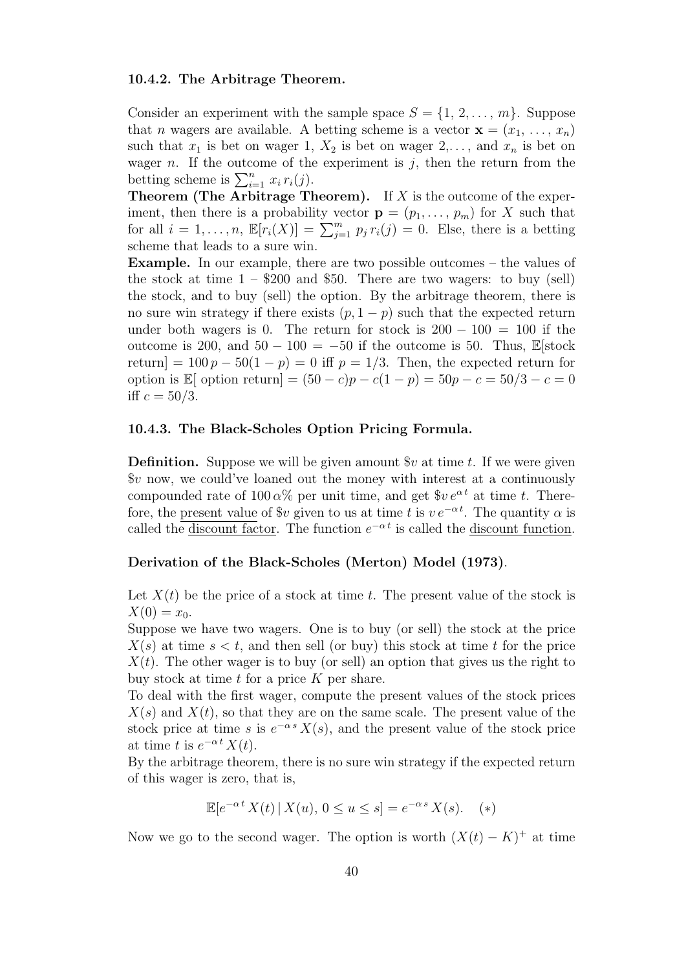#### **10.4.2. The Arbitrage Theorem.**

Consider an experiment with the sample space  $S = \{1, 2, \ldots, m\}$ . Suppose that *n* wagers are available. A betting scheme is a vector  $\mathbf{x} = (x_1, \ldots, x_n)$ such that  $x_1$  is bet on wager 1,  $X_2$  is bet on wager 2,..., and  $x_n$  is bet on wager  $n$ . If the outcome of the experiment is  $j$ , then the return from the betting scheme is  $\sum_{i=1}^{n} x_i r_i(j)$ .

**Theorem (The Arbitrage Theorem).** If *X* is the outcome of the experiment, then there is a probability vector  $\mathbf{p} = (p_1, \ldots, p_m)$  for *X* such that for all  $i = 1, \ldots, n$ ,  $\mathbb{E}[r_i(X)] = \sum_{j=1}^m p_j r_i(j) = 0$ . Else, there is a betting scheme that leads to a sure win.

**Example.** In our example, there are two possible outcomes – the values of the stock at time  $1 - $200$  and \$50. There are two wagers: to buy (sell) the stock, and to buy (sell) the option. By the arbitrage theorem, there is no sure win strategy if there exists  $(p, 1-p)$  such that the expected return under both wagers is 0. The return for stock is  $200 - 100 = 100$  if the outcome is 200, and  $50 - 100 = -50$  if the outcome is 50. Thus, E[stock return] =  $100 p - 50(1 - p) = 0$  iff  $p = 1/3$ . Then, the expected return for option is E[ option return] =  $(50 - c)p - c(1 - p) = 50p - c = 50/3 - c = 0$ iff  $c = 50/3$ .

#### **10.4.3. The Black-Scholes Option Pricing Formula.**

**Definition.** Suppose we will be given amount  $v$  at time *t*. If we were given \$*v* now, we could've loaned out the money with interest at a continuously compounded rate of  $100 \alpha\%$  per unit time, and get  $\frac{6}{3}v e^{\alpha t}$  at time *t*. Therefore, the present value of  $v$  given to us at time *t* is  $v e^{-\alpha t}$ . The quantity  $\alpha$  is called the discount factor. The function  $e^{-\alpha t}$  is called the discount function.

## **Derivation of the Black-Scholes (Merton) Model (1973)**.

Let  $X(t)$  be the price of a stock at time  $t$ . The present value of the stock is  $X(0) = x_0$ .

Suppose we have two wagers. One is to buy (or sell) the stock at the price  $X(s)$  at time  $s < t$ , and then sell (or buy) this stock at time *t* for the price  $X(t)$ . The other wager is to buy (or sell) an option that gives us the right to buy stock at time *t* for a price *K* per share.

To deal with the first wager, compute the present values of the stock prices  $X(s)$  and  $X(t)$ , so that they are on the same scale. The present value of the stock price at time *s* is  $e^{-\alpha s} X(s)$ , and the present value of the stock price at time *t* is  $e^{-\alpha t} X(t)$ .

By the arbitrage theorem, there is no sure win strategy if the expected return of this wager is zero, that is,

$$
\mathbb{E}[e^{-\alpha t} X(t) | X(u), 0 \le u \le s] = e^{-\alpha s} X(s). \quad (*)
$$

Now we go to the second wager. The option is worth  $(X(t) - K)^+$  at time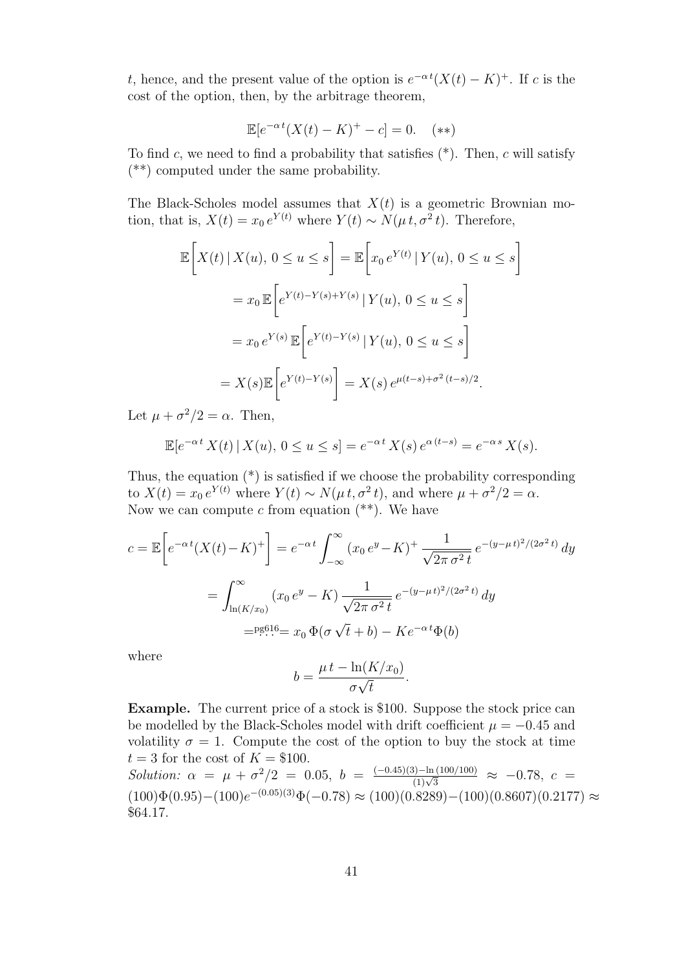*t*, hence, and the present value of the option is  $e^{-\alpha t}(X(t) - K)^+$ . If *c* is the cost of the option, then, by the arbitrage theorem,

$$
\mathbb{E}[e^{-\alpha t}(X(t) - K)^{+} - c] = 0. \quad (**)
$$

To find *c*, we need to find a probability that satisfies (\*). Then, *c* will satisfy (\*\*) computed under the same probability.

The Black-Scholes model assumes that  $X(t)$  is a geometric Brownian motion, that is,  $X(t) = x_0 e^{Y(t)}$  where  $Y(t) \sim N(\mu t, \sigma^2 t)$ . Therefore,

$$
\mathbb{E}\left[X(t) \mid X(u), 0 \le u \le s\right] = \mathbb{E}\left[x_0 e^{Y(t)} \mid Y(u), 0 \le u \le s\right]
$$

$$
= x_0 \mathbb{E}\left[e^{Y(t) - Y(s) + Y(s)} \mid Y(u), 0 \le u \le s\right]
$$

$$
= x_0 e^{Y(s)} \mathbb{E}\left[e^{Y(t) - Y(s)} \mid Y(u), 0 \le u \le s\right]
$$

$$
= X(s) \mathbb{E}\left[e^{Y(t) - Y(s)}\right] = X(s) e^{\mu(t-s) + \sigma^2(t-s)/2}.
$$

Let  $\mu + \sigma^2/2 = \alpha$ . Then,

$$
\mathbb{E}[e^{-\alpha t} X(t) | X(u), 0 \le u \le s] = e^{-\alpha t} X(s) e^{\alpha(t-s)} = e^{-\alpha s} X(s).
$$

Thus, the equation (\*) is satisfied if we choose the probability corresponding to  $X(t) = x_0 e^{Y(t)}$  where  $Y(t) \sim N(\mu t, \sigma^2 t)$ , and where  $\mu + \sigma^2/2 = \alpha$ . Now we can compute  $c$  from equation  $(**)$ . We have

$$
c = \mathbb{E}\left[e^{-\alpha t}(X(t) - K)^+\right] = e^{-\alpha t} \int_{-\infty}^{\infty} (x_0 e^y - K)^+ \frac{1}{\sqrt{2\pi \sigma^2 t}} e^{-(y-\mu t)^2/(2\sigma^2 t)} dy
$$

$$
= \int_{\ln(K/x_0)}^{\infty} (x_0 e^y - K) \frac{1}{\sqrt{2\pi \sigma^2 t}} e^{-(y-\mu t)^2/(2\sigma^2 t)} dy
$$

$$
= \lim_{\epsilon \to 0} \mathbb{E}\left[\exp\left(-\frac{y - \mu t}{\epsilon}\right) - K e^{-\alpha t} \Phi\left(\frac{t}{\epsilon}\right)\right]
$$

where

$$
b = \frac{\mu t - \ln(K/x_0)}{\sigma \sqrt{t}}.
$$

**Example.** The current price of a stock is \$100. Suppose the stock price can be modelled by the Black-Scholes model with drift coefficient  $\mu = -0.45$  and volatility  $\sigma = 1$ . Compute the cost of the option to buy the stock at time  $t = 3$  for the cost of  $K = $100$ .

*Solution:*  $\alpha = \mu + \frac{\sigma^2}{2} = 0.05$ ,  $b = \frac{(-0.45)(3) - \ln(100/100)}{(1)\sqrt{3}} \approx -0.78$ ,  $c =$  $(100)\Phi(0.95) - (100)e^{-(0.05)(3)}\Phi(-0.78) \approx (100)(0.8289) - (100)(0.8607)(0.2177) \approx$ \$64*.*17*.*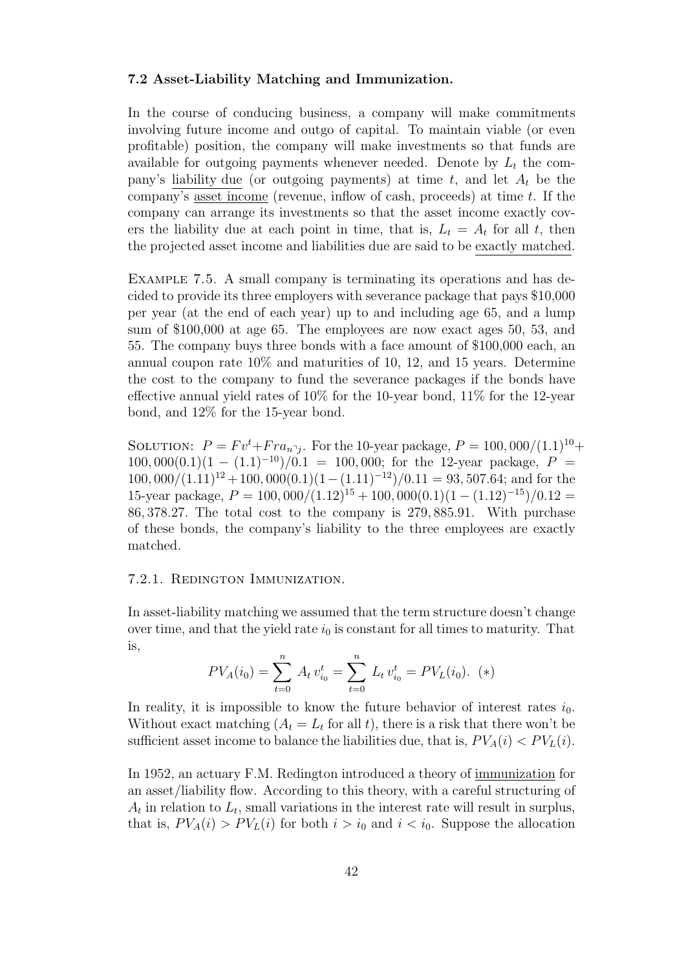#### **7.2 Asset-Liability Matching and Immunization.**

In the course of conducing business, a company will make commitments involving future income and outgo of capital. To maintain viable (or even profitable) position, the company will make investments so that funds are available for outgoing payments whenever needed. Denote by  $L_t$  the company's liability due (or outgoing payments) at time  $t$ , and let  $A_t$  be the company's asset income (revenue, inflow of cash, proceeds) at time *t*. If the company can arrange its investments so that the asset income exactly covers the liability due at each point in time, that is,  $L_t = A_t$  for all *t*, then the projected asset income and liabilities due are said to be exactly matched.

Example 7.5. A small company is terminating its operations and has decided to provide its three employers with severance package that pays \$10,000 per year (at the end of each year) up to and including age 65, and a lump sum of \$100,000 at age 65. The employees are now exact ages 50, 53, and 55. The company buys three bonds with a face amount of \$100,000 each, an annual coupon rate 10% and maturities of 10, 12, and 15 years. Determine the cost to the company to fund the severance packages if the bonds have effective annual yield rates of 10% for the 10-year bond, 11% for the 12-year bond, and 12% for the 15-year bond.

SOLUTION:  $P = Fv^{t} + Fra_{n}^{j}$ . For the 10-year package,  $P = 100,000/(1.1)^{10} +$ 100*,* 000(0*.*1)(1 − (1*.*1)<sup>-10</sup>)/0*.*1 = 100*,* 000; for the 12-year package,  $P =$ 100*,* 000*/*(1*.*11)<sup>12</sup> + 100*,* 000(0*.*1)(1*−*(1*.*11)*−*<sup>12</sup>)*/*0*.*11 = 93*,* 507*.*64; and for the 15-year package,  $P = 100,000/(1.12)^{15} + 100,000(0.1)(1 - (1.12)^{-15})/0.12 =$ 86*,* 378*.*27*.* The total cost to the company is 279*,* 885*.*91. With purchase of these bonds, the company's liability to the three employees are exactly matched.

### 7.2.1. Redington Immunization.

In asset-liability matching we assumed that the term structure doesn't change over time, and that the yield rate  $i_0$  is constant for all times to maturity. That is,

$$
PV_A(i_0) = \sum_{t=0}^{n} A_t v_{i_0}^t = \sum_{t=0}^{n} L_t v_{i_0}^t = PV_L(i_0). (*)
$$

In reality, it is impossible to know the future behavior of interest rates  $i_0$ . Without exact matching  $(A_t = L_t \text{ for all } t)$ , there is a risk that there won't be sufficient asset income to balance the liabilities due, that is,  $PV_A(i) < PV_L(i)$ .

In 1952, an actuary F.M. Redington introduced a theory of immunization for an asset/liability flow. According to this theory, with a careful structuring of  $A_t$  in relation to  $L_t$ , small variations in the interest rate will result in surplus, that is,  $PV_A(i) > PV_L(i)$  for both  $i > i_0$  and  $i < i_0$ . Suppose the allocation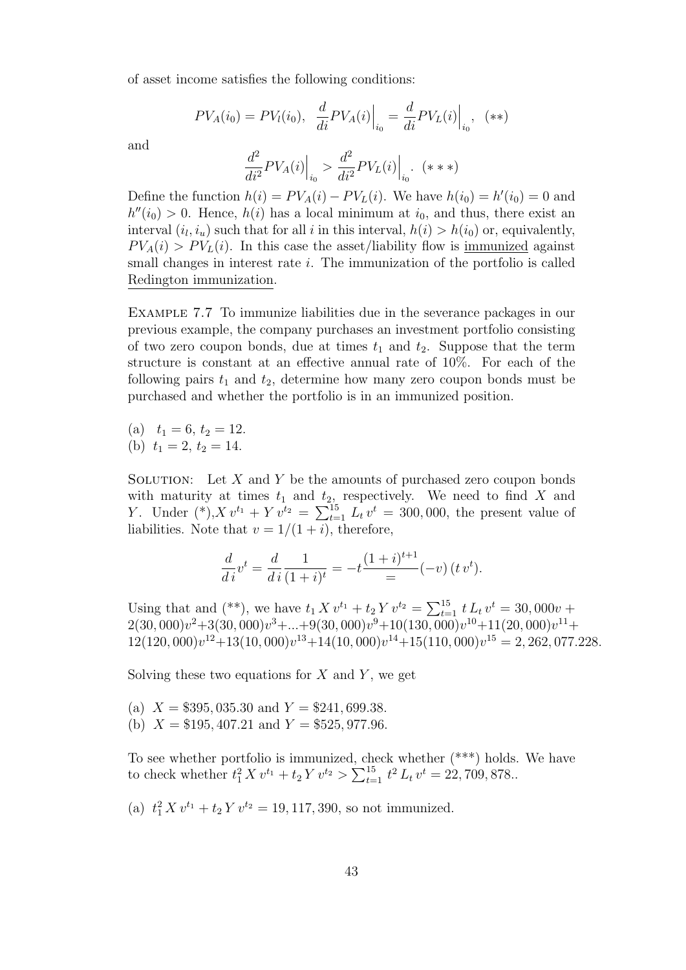of asset income satisfies the following conditions:

$$
PV_A(i_0) = PV_I(i_0), \frac{d}{di} PV_A(i) \Big|_{i_0} = \frac{d}{di} PV_L(i) \Big|_{i_0}, (*)
$$

and

$$
\frac{d^2}{di^2}PV_A(i)\Big|_{i_0} > \frac{d^2}{di^2}PV_L(i)\Big|_{i_0}.\ \ (***)
$$

Define the function  $h(i) = PV_A(i) - PV_L(i)$ . We have  $h(i_0) = h'(i_0) = 0$  and  $h''(i_0) > 0$ . Hence,  $h(i)$  has a local minimum at  $i_0$ , and thus, there exist an interval  $(i_l, i_u)$  such that for all *i* in this interval,  $h(i) > h(i_0)$  or, equivalently,  $PV_A(i) > PV_L(i)$ . In this case the asset/liability flow is immunized against small changes in interest rate *i*. The immunization of the portfolio is called Redington immunization.

Example 7.7 To immunize liabilities due in the severance packages in our previous example, the company purchases an investment portfolio consisting of two zero coupon bonds, due at times  $t_1$  and  $t_2$ . Suppose that the term structure is constant at an effective annual rate of 10%. For each of the following pairs  $t_1$  and  $t_2$ , determine how many zero coupon bonds must be purchased and whether the portfolio is in an immunized position.

(a) 
$$
t_1 = 6, t_2 = 12.
$$
  
(b)  $t_1 = 2, t_2 = 14$ 

(b)  $t_1 = 2, t_2 = 14.$ 

SOLUTION: Let X and Y be the amounts of purchased zero coupon bonds with maturity at times  $t_1$  and  $t_2$ , respectively. We need to find X and *Y*. Under  $(*), X v^{t_1} + Y v^{t_2} = \sum_{t=1}^{15} L_t v^t = 300,000$ , the present value of liabilities. Note that  $v = 1/(1 + i)$ , therefore,

$$
\frac{d}{di}v^t = \frac{d}{di}\frac{1}{(1+i)^t} = -t\frac{(1+i)^{t+1}}{2}(-v)(t v^t).
$$

Using that and (\*\*), we have  $t_1 X v^{t_1} + t_2 Y v^{t_2} = \sum_{t=1}^{15} t L_t v^t = 30,000v +$  $2(30,000)v^{2}+3(30,000)v^{3}+...+9(30,000)v^{9}+10(130,000)v^{10}+11(20,000)v^{11}+$  $12(120,000)v^{12} + 13(10,000)v^{13} + 14(10,000)v^{14} + 15(110,000)v^{15} = 2,262,077.228$ 

Solving these two equations for *X* and *Y* , we get

- (a)  $X = $395,035.30 \text{ and } Y = $241,699.38.$
- (b)  $X = $195,407.21$  and  $Y = $525,977.96$ .

To see whether portfolio is immunized, check whether (\*\*\*) holds. We have to check whether  $t_1^2 X v^{t_1} + t_2 Y v^{t_2} > \sum_{t=1}^{15} t^2 L_t v^t = 22,709,878.$ 

(a)  $t_1^2 X v^{t_1} + t_2 Y v^{t_2} = 19, 117, 390$ , so not immunized.